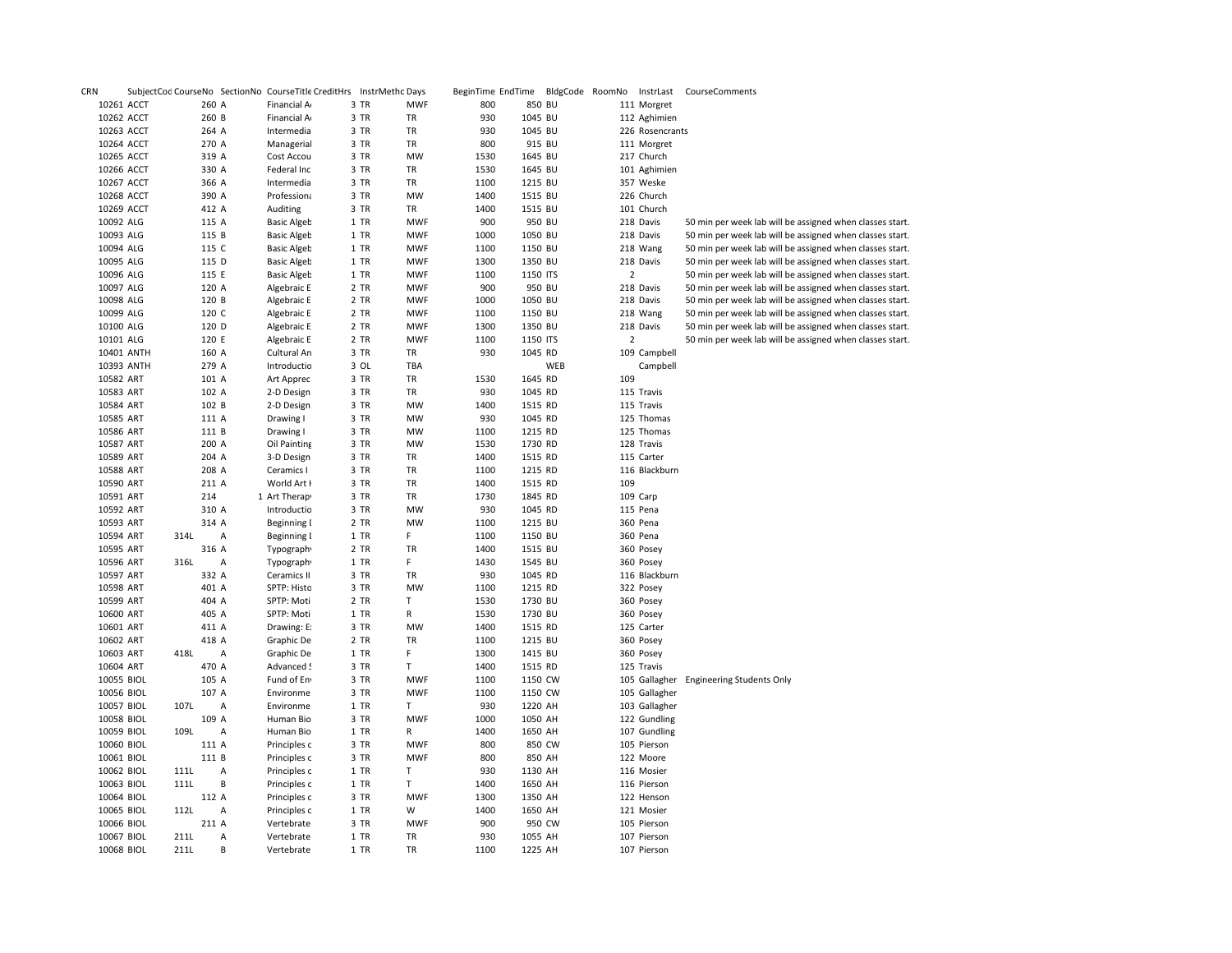| <b>CRN</b>             |      |                | SubjectCod CourseNo SectionNo CourseTitle CreditHrs InstrMetho Days |              |            | BeginTime EndTime BldgCode RoomNo |                    |     |                | InstrLast                | CourseComments                                           |
|------------------------|------|----------------|---------------------------------------------------------------------|--------------|------------|-----------------------------------|--------------------|-----|----------------|--------------------------|----------------------------------------------------------|
| 10261 ACCT             |      | 260 A          | Financial A                                                         | 3 TR         | <b>MWF</b> | 800                               | 850 BU             |     |                | 111 Morgret              |                                                          |
| 10262 ACCT             |      | 260 B          | Financial A                                                         | 3 TR         | TR         | 930                               | 1045 BU            |     |                | 112 Aghimien             |                                                          |
| 10263 ACCT             |      | 264 A          | Intermedia                                                          | 3 TR         | TR         | 930                               | 1045 BU            |     |                | 226 Rosencrants          |                                                          |
| 10264 ACCT             |      | 270 A          | Managerial                                                          | 3 TR         | TR         | 800                               | 915 BU             |     |                | 111 Morgret              |                                                          |
| 10265 ACCT             |      | 319 A          | Cost Accou                                                          | 3 TR         | <b>MW</b>  | 1530                              | 1645 BU            |     |                | 217 Church               |                                                          |
| 10266 ACCT             |      | 330 A          | Federal Inc                                                         | 3 TR         | TR         | 1530                              | 1645 BU            |     |                | 101 Aghimien             |                                                          |
| 10267 ACCT             |      | 366 A          | Intermedia                                                          | 3 TR         | TR         | 1100                              | 1215 BU            |     |                | 357 Weske                |                                                          |
| 10268 ACCT             |      | 390 A          | Professiona                                                         | 3 TR         | MW         | 1400                              | 1515 BU            |     |                | 226 Church               |                                                          |
| 10269 ACCT             |      | 412 A          | Auditing                                                            | 3 TR         | TR         | 1400                              | 1515 BU            |     |                | 101 Church               |                                                          |
| 10092 ALG              |      | 115 A          | <b>Basic Algeb</b>                                                  | 1 TR         | <b>MWF</b> | 900                               | 950 BU             |     |                | 218 Davis                | 50 min per week lab will be assigned when classes start. |
| 10093 ALG              |      | 115 B          | <b>Basic Algeb</b>                                                  | 1 TR         | <b>MWF</b> | 1000                              | 1050 BU            |     |                | 218 Davis                | 50 min per week lab will be assigned when classes start. |
| 10094 ALG              |      | 115 C          | <b>Basic Algeb</b>                                                  | 1 TR         | <b>MWF</b> | 1100                              | 1150 BU            |     |                | 218 Wang                 | 50 min per week lab will be assigned when classes start. |
| 10095 ALG              |      | 115 D          | <b>Basic Algeb</b>                                                  | 1 TR         | <b>MWF</b> | 1300                              | 1350 BU            |     |                | 218 Davis                | 50 min per week lab will be assigned when classes start. |
| 10096 ALG              |      | 115 E          | <b>Basic Algeb</b>                                                  | 1 TR         | <b>MWF</b> | 1100                              | 1150 ITS           |     | $\overline{2}$ |                          | 50 min per week lab will be assigned when classes start. |
| 10097 ALG              |      | 120 A          | Algebraic E                                                         | 2 TR         | <b>MWF</b> | 900                               | 950 BU             |     |                | 218 Davis                | 50 min per week lab will be assigned when classes start. |
| 10098 ALG              |      | 120 B          | Algebraic E                                                         | 2 TR         | <b>MWF</b> | 1000                              | 1050 BU            |     |                | 218 Davis                | 50 min per week lab will be assigned when classes start. |
| 10099 ALG              |      | 120 C          | Algebraic E                                                         | 2 TR         | <b>MWF</b> | 1100                              | 1150 BU            |     |                | 218 Wang                 | 50 min per week lab will be assigned when classes start. |
| 10100 ALG              |      | 120 D          | Algebraic E                                                         | 2 TR         | <b>MWF</b> | 1300                              | 1350 BU            |     |                | 218 Davis                | 50 min per week lab will be assigned when classes start. |
| 10101 ALG              |      | 120 E          | Algebraic E                                                         | 2 TR         | <b>MWF</b> | 1100                              | 1150 ITS           |     | $\overline{2}$ |                          | 50 min per week lab will be assigned when classes start. |
| 10401 ANTH             |      | 160 A          | Cultural An                                                         | 3 TR         | TR         | 930                               | 1045 RD            |     |                | 109 Campbell             |                                                          |
| 10393 ANTH             |      | 279 A          | Introductio                                                         | 3 OL         | TBA        |                                   |                    | WEB |                | Campbell                 |                                                          |
| 10582 ART              |      | 101 A          | Art Apprec                                                          | 3 TR         | TR         | 1530                              | 1645 RD            |     | 109            |                          |                                                          |
| 10583 ART              |      | 102 A          |                                                                     |              |            | 930                               | 1045 RD            |     |                |                          |                                                          |
|                        |      |                | 2-D Design                                                          | 3 TR         | TR         |                                   |                    |     |                | 115 Travis<br>115 Travis |                                                          |
| 10584 ART<br>10585 ART |      | 102 B<br>111 A | 2-D Design<br>Drawing I                                             | 3 TR<br>3 TR | MW<br>MW   | 1400<br>930                       | 1515 RD<br>1045 RD |     |                | 125 Thomas               |                                                          |
|                        |      |                |                                                                     |              | <b>MW</b>  |                                   |                    |     |                | 125 Thomas               |                                                          |
| 10586 ART              |      | 111 B          | Drawing I                                                           | 3 TR         |            | 1100                              | 1215 RD            |     |                |                          |                                                          |
| 10587 ART              |      | 200 A          | Oil Painting                                                        | 3 TR         | MW         | 1530                              | 1730 RD            |     |                | 128 Travis               |                                                          |
| 10589 ART              |      | 204 A          | 3-D Design                                                          | 3 TR         | TR         | 1400                              | 1515 RD            |     |                | 115 Carter               |                                                          |
| 10588 ART              |      | 208 A          | Ceramics I                                                          | 3 TR         | TR         | 1100                              | 1215 RD            |     |                | 116 Blackburn            |                                                          |
| 10590 ART              |      | 211 A          | World Art I                                                         | 3 TR         | TR         | 1400                              | 1515 RD            |     | 109            |                          |                                                          |
| 10591 ART              |      | 214            | 1 Art Therap                                                        | 3 TR         | TR         | 1730                              | 1845 RD            |     |                | 109 Carp                 |                                                          |
| 10592 ART              |      | 310 A          | Introductio                                                         | 3 TR         | MW         | 930                               | 1045 RD            |     |                | 115 Pena                 |                                                          |
| 10593 ART              |      | 314 A          | Beginning I                                                         | 2 TR         | MW         | 1100                              | 1215 BU            |     |                | 360 Pena                 |                                                          |
| 10594 ART              | 314L | Α              | Beginning I                                                         | 1 TR         | F.         | 1100                              | 1150 BU            |     |                | 360 Pena                 |                                                          |
| 10595 ART              |      | 316 A          | Typograph <sup>®</sup>                                              | 2 TR         | TR         | 1400                              | 1515 BU            |     |                | 360 Posey                |                                                          |
| 10596 ART              | 316L | Α              | Typograph <sup>®</sup>                                              | 1 TR         | F.         | 1430                              | 1545 BU            |     |                | 360 Posey                |                                                          |
| 10597 ART              |      | 332 A          | Ceramics II                                                         | 3 TR         | TR         | 930                               | 1045 RD            |     |                | 116 Blackburn            |                                                          |
| 10598 ART              |      | 401 A          | SPTP: Histc                                                         | 3 TR         | <b>MW</b>  | 1100                              | 1215 RD            |     |                | 322 Posey                |                                                          |
| 10599 ART              |      | 404 A          | SPTP: Moti                                                          | 2 TR         | T.         | 1530                              | 1730 BU            |     |                | 360 Posey                |                                                          |
| 10600 ART              |      | 405 A          | SPTP: Moti                                                          | 1 TR         | R          | 1530                              | 1730 BU            |     |                | 360 Posey                |                                                          |
| 10601 ART              |      | 411 A          | Drawing: E:                                                         | 3 TR         | MW         | 1400                              | 1515 RD            |     |                | 125 Carter               |                                                          |
| 10602 ART              |      | 418 A          | Graphic De                                                          | 2 TR         | TR         | 1100                              | 1215 BU            |     |                | 360 Posey                |                                                          |
| 10603 ART              | 418L | Α              | Graphic De                                                          | 1 TR         | F.         | 1300                              | 1415 BU            |     |                | 360 Posey                |                                                          |
| 10604 ART              |      | 470 A          | Advanced !                                                          | 3 TR         | T.         | 1400                              | 1515 RD            |     |                | 125 Travis               |                                                          |
| 10055 BIOL             |      | 105 A          | Fund of En                                                          | 3 TR         | <b>MWF</b> | 1100                              | 1150 CW            |     |                | 105 Gallagher            | <b>Engineering Students Only</b>                         |
| 10056 BIOL             |      | 107 A          | Environme                                                           | 3 TR         | <b>MWF</b> | 1100                              | 1150 CW            |     |                | 105 Gallagher            |                                                          |
| 10057 BIOL             | 107L | Α              | Environme                                                           | 1 TR         | T.         | 930                               | 1220 AH            |     |                | 103 Gallagher            |                                                          |
| 10058 BIOL             |      | 109 A          | Human Bio                                                           | 3 TR         | <b>MWF</b> | 1000                              | 1050 AH            |     |                | 122 Gundling             |                                                          |
| 10059 BIOL             | 109L | Α              | Human Bio                                                           | 1 TR         | R          | 1400                              | 1650 AH            |     |                | 107 Gundling             |                                                          |
| 10060 BIOL             |      | 111 A          | Principles c                                                        | 3 TR         | <b>MWF</b> | 800                               | 850 CW             |     |                | 105 Pierson              |                                                          |
| 10061 BIOL             |      | 111 B          | Principles c                                                        | 3 TR         | <b>MWF</b> | 800                               | 850 AH             |     |                | 122 Moore                |                                                          |
| 10062 BIOL             | 111L | Α              | Principles c                                                        | 1 TR         | T          | 930                               | 1130 AH            |     |                | 116 Mosier               |                                                          |
| 10063 BIOL             | 111L | B              | Principles c                                                        | 1 TR         | T          | 1400                              | 1650 AH            |     |                | 116 Pierson              |                                                          |
| 10064 BIOL             |      | 112 A          | Principles c                                                        | 3 TR         | <b>MWF</b> | 1300                              | 1350 AH            |     |                | 122 Henson               |                                                          |
| 10065 BIOL             | 112L | Α              | Principles c                                                        | 1 TR         | W          | 1400                              | 1650 AH            |     |                | 121 Mosier               |                                                          |
| 10066 BIOL             |      | 211 A          | Vertebrate                                                          | 3 TR         | <b>MWF</b> | 900                               | 950 CW             |     |                | 105 Pierson              |                                                          |
| 10067 BIOL             | 211L | Α              | Vertebrate                                                          | 1 TR         | TR         | 930                               | 1055 AH            |     |                | 107 Pierson              |                                                          |
| 10068 BIOL             | 211L | B              | Vertebrate                                                          | 1 TR         | TR         | 1100                              | 1225 AH            |     |                | 107 Pierson              |                                                          |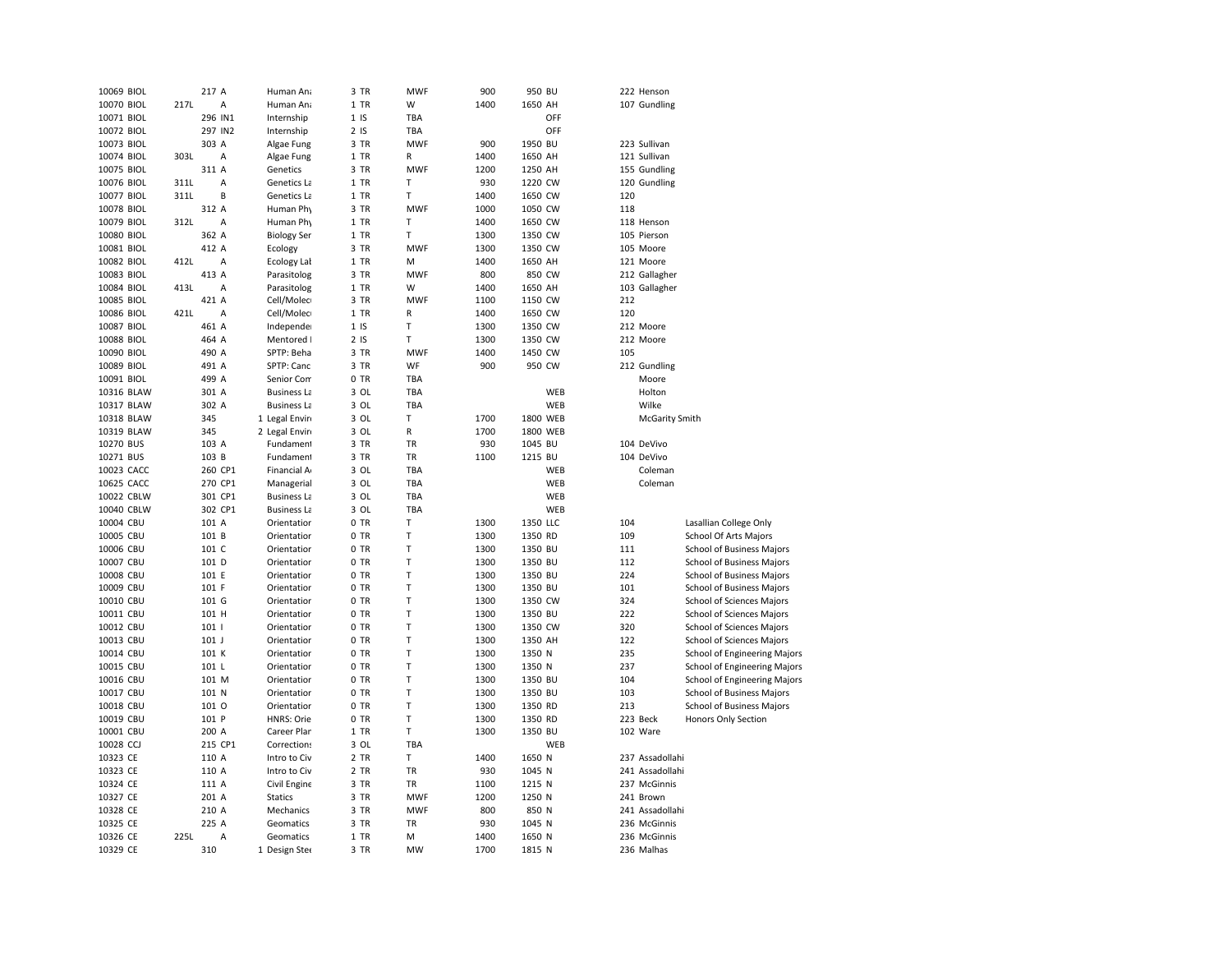| 10069 BIOL |      | 217 A            | Human Ana          | 3 TR            | <b>MWF</b> | 900  | 950 BU   | 222 Henson            |                              |
|------------|------|------------------|--------------------|-----------------|------------|------|----------|-----------------------|------------------------------|
| 10070 BIOL | 217L | Α                | Human Ana          | 1 TR            | W          | 1400 | 1650 AH  | 107 Gundling          |                              |
| 10071 BIOL |      | 296 IN1          | Internship         | 1 <sub>15</sub> | TBA        |      | OFF      |                       |                              |
| 10072 BIOL |      | 297 IN2          | Internship         | 2 <sub>15</sub> | <b>TBA</b> |      | OFF      |                       |                              |
| 10073 BIOL |      | 303 A            | Algae Fung         | 3 TR            | <b>MWF</b> | 900  | 1950 BU  | 223 Sullivan          |                              |
| 10074 BIOL | 303L | Α                | Algae Fung         | 1 TR            | R          | 1400 | 1650 AH  | 121 Sullivan          |                              |
|            |      |                  |                    |                 |            | 1200 |          |                       |                              |
| 10075 BIOL |      | 311 A            | Genetics           | 3 TR            | <b>MWF</b> |      | 1250 AH  | 155 Gundling          |                              |
| 10076 BIOL | 311L | Α                | Genetics La        | 1 TR            | т          | 930  | 1220 CW  | 120 Gundling          |                              |
| 10077 BIOL | 311L | B                | Genetics La        | 1 TR            | T          | 1400 | 1650 CW  | 120                   |                              |
| 10078 BIOL |      | 312 A            | Human Phy          | 3 TR            | <b>MWF</b> | 1000 | 1050 CW  | 118                   |                              |
| 10079 BIOL | 312L | А                | Human Phy          | 1 TR            | T          | 1400 | 1650 CW  | 118 Henson            |                              |
| 10080 BIOL |      | 362 A            | <b>Biology Ser</b> | 1 TR            | T          | 1300 | 1350 CW  | 105 Pierson           |                              |
| 10081 BIOL |      | 412 A            | Ecology            | 3 TR            | <b>MWF</b> | 1300 | 1350 CW  | 105 Moore             |                              |
| 10082 BIOL | 412L | Α                | Ecology Lal        | 1 TR            | M          | 1400 | 1650 AH  | 121 Moore             |                              |
| 10083 BIOL |      | 413 A            | Parasitolog        | 3 TR            | <b>MWF</b> | 800  | 850 CW   | 212 Gallagher         |                              |
| 10084 BIOL | 413L | Α                | Parasitolog        | 1 TR            | W          | 1400 | 1650 AH  | 103 Gallagher         |                              |
| 10085 BIOL |      | 421 A            | Cell/Molec         | 3 TR            | <b>MWF</b> | 1100 | 1150 CW  | 212                   |                              |
| 10086 BIOL | 421L | A                | Cell/Molec         | 1 TR            | R          | 1400 | 1650 CW  | 120                   |                              |
| 10087 BIOL |      | 461 A            | Independe          | 1 <sub>15</sub> | T          | 1300 | 1350 CW  | 212 Moore             |                              |
| 10088 BIOL |      | 464 A            | Mentored I         | 2 <sub>15</sub> | Т          | 1300 | 1350 CW  | 212 Moore             |                              |
| 10090 BIOL |      | 490 A            | SPTP: Beha         | 3 TR            | MWF        | 1400 | 1450 CW  | 105                   |                              |
| 10089 BIOL |      | 491 A            | SPTP: Canc         | 3 TR            | WF         | 900  | 950 CW   | 212 Gundling          |                              |
|            |      | 499 A            |                    | 0 TR            |            |      |          |                       |                              |
| 10091 BIOL |      |                  | Senior Com         |                 | TBA        |      |          | Moore                 |                              |
| 10316 BLAW |      | 301 A            | <b>Business La</b> | 3 OL            | TBA        |      | WEB      | Holton                |                              |
| 10317 BLAW |      | 302 A            | <b>Business La</b> | 3 OL            | TBA        |      | WEB      | Wilke                 |                              |
| 10318 BLAW |      | 345              | 1 Legal Envin      | 3 OL            | т          | 1700 | 1800 WEB | <b>McGarity Smith</b> |                              |
| 10319 BLAW |      | 345              | 2 Legal Envin      | 3 OL            | R          | 1700 | 1800 WEB |                       |                              |
| 10270 BUS  |      | 103 A            | Fundament          | 3 TR            | TR         | 930  | 1045 BU  | 104 DeVivo            |                              |
| 10271 BUS  |      | 103 B            | Fundament          | 3 TR            | TR         | 1100 | 1215 BU  | 104 DeVivo            |                              |
| 10023 CACC |      | 260 CP1          | Financial A        | 3 OL            | TBA        |      | WEB      | Coleman               |                              |
| 10625 CACC |      | 270 CP1          | Managerial         | 3 OL            | TBA        |      | WEB      | Coleman               |                              |
| 10022 CBLW |      | 301 CP1          | <b>Business La</b> | 3 OL            | TBA        |      | WEB      |                       |                              |
| 10040 CBLW |      | 302 CP1          | <b>Business La</b> | 3 OL            | TBA        |      | WEB      |                       |                              |
| 10004 CBU  |      | 101 A            | Orientation        | 0 TR            | Т          | 1300 | 1350 LLC | 104                   | Lasallian College Only       |
| 10005 CBU  |      | 101 B            | Orientatior        | 0 TR            | T          | 1300 | 1350 RD  | 109                   | School Of Arts Majors        |
| 10006 CBU  |      | 101 C            | Orientation        | 0 TR            | T          | 1300 | 1350 BU  | 111                   | School of Business Majors    |
| 10007 CBU  |      | 101 D            | Orientation        | 0 TR            | T          | 1300 | 1350 BU  | 112                   | School of Business Majors    |
| 10008 CBU  |      | 101 E            | Orientation        | 0 TR            | T          | 1300 | 1350 BU  | 224                   | School of Business Majors    |
| 10009 CBU  |      | 101 F            | Orientatior        | 0 TR            | Т          | 1300 | 1350 BU  | 101                   | School of Business Majors    |
| 10010 CBU  |      | 101 G            | Orientation        | 0 TR            | Т          | 1300 | 1350 CW  | 324                   | School of Sciences Majors    |
|            |      | 101 H            | Orientation        | 0 TR            | Т          | 1300 |          | 222                   |                              |
| 10011 CBU  |      |                  |                    |                 |            |      | 1350 BU  |                       | School of Sciences Majors    |
| 10012 CBU  |      | 101 <sub>1</sub> | Orientation        | 0 TR            | T          | 1300 | 1350 CW  | 320                   | School of Sciences Majors    |
| 10013 CBU  |      | $101$ J          | Orientatior        | 0 TR            | T          | 1300 | 1350 AH  | 122                   | School of Sciences Majors    |
| 10014 CBU  |      | 101 K            | Orientatior        | 0 TR            | T          | 1300 | 1350 N   | 235                   | School of Engineering Majors |
| 10015 CBU  |      | 101 L            | Orientation        | 0 TR            | T          | 1300 | 1350 N   | 237                   | School of Engineering Majors |
| 10016 CBU  |      | 101 M            | Orientatior        | 0 TR            | T          | 1300 | 1350 BU  | 104                   | School of Engineering Majors |
| 10017 CBU  |      | 101 N            | Orientation        | 0 TR            | T          | 1300 | 1350 BU  | 103                   | School of Business Majors    |
| 10018 CBU  |      | 101 0            | Orientation        | 0 TR            | T          | 1300 | 1350 RD  | 213                   | School of Business Majors    |
| 10019 CBU  |      | 101 P            | <b>HNRS: Orie</b>  | 0 TR            | T          | 1300 | 1350 RD  | 223 Beck              | Honors Only Section          |
| 10001 CBU  |      | 200 A            | Career Plar        | 1 TR            | T          | 1300 | 1350 BU  | 102 Ware              |                              |
| 10028 CCJ  |      | 215 CP1          | Correction:        | 3 OL            | TBA        |      | WEB      |                       |                              |
| 10323 CE   |      | 110 A            | Intro to Civ       | 2 TR            | T          | 1400 | 1650 N   | 237 Assadollahi       |                              |
| 10323 CE   |      | 110 A            | Intro to Civ       | 2 TR            | TR         | 930  | 1045 N   | 241 Assadollahi       |                              |
| 10324 CE   |      | 111 A            | Civil Engine       | 3 TR            | <b>TR</b>  | 1100 | 1215 N   | 237 McGinnis          |                              |
| 10327 CE   |      | 201 A            | <b>Statics</b>     | 3 TR            | <b>MWF</b> | 1200 | 1250 N   | 241 Brown             |                              |
| 10328 CE   |      | 210 A            | Mechanics          | 3 TR            | <b>MWF</b> | 800  | 850 N    | 241 Assadollahi       |                              |
| 10325 CE   |      | 225 A            | Geomatics          | 3 TR            | TR         | 930  | 1045 N   | 236 McGinnis          |                              |
|            | 225L | А                |                    | 1 TR            | M          | 1400 | 1650 N   | 236 McGinnis          |                              |
| 10326 CE   |      |                  | Geomatics          |                 |            |      |          |                       |                              |
| 10329 CE   |      | 310              | 1 Design Stee      | 3 TR            | <b>MW</b>  | 1700 | 1815 N   | 236 Malhas            |                              |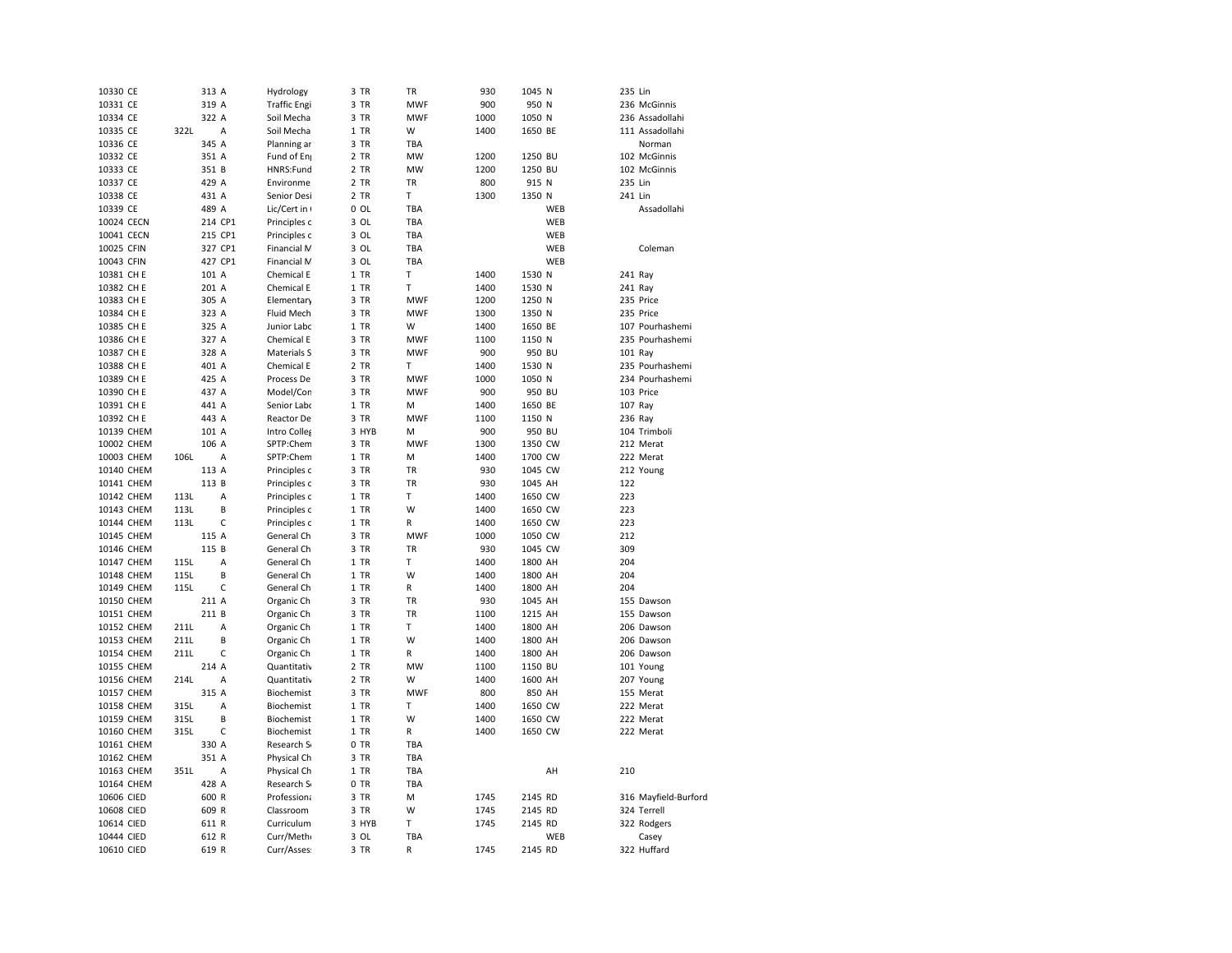| 10330 CE   |      | 313 A        | Hydrology           | 3 TR           | TR         | 930  | 1045 N  |     | 235 Lin |                      |
|------------|------|--------------|---------------------|----------------|------------|------|---------|-----|---------|----------------------|
| 10331 CE   |      | 319 A        | <b>Traffic Engi</b> | 3 TR           | <b>MWF</b> | 900  | 950 N   |     |         | 236 McGinnis         |
| 10334 CE   |      | 322 A        | Soil Mecha          | 3 TR           | <b>MWF</b> | 1000 | 1050 N  |     |         | 236 Assadollahi      |
| 10335 CE   | 322L | A            | Soil Mecha          | 1 TR           | W          | 1400 | 1650 BE |     |         | 111 Assadollahi      |
| 10336 CE   |      | 345 A        | Planning ar         | 3 TR           | TBA        |      |         |     |         | Norman               |
| 10332 CE   |      | 351 A        | Fund of Eng         | 2 TR           | <b>MW</b>  | 1200 | 1250 BU |     |         | 102 McGinnis         |
| 10333 CE   |      | 351 B        | HNRS:Fund           | 2 TR           | MW         | 1200 | 1250 BU |     |         | 102 McGinnis         |
| 10337 CE   |      | 429 A        | Environme           | 2 TR           | TR         | 800  | 915 N   |     | 235 Lin |                      |
| 10338 CE   |      | 431 A        | Senior Desi         | 2 TR           | Т          | 1300 | 1350 N  |     | 241 Lin |                      |
| 10339 CE   |      | 489 A        | Lic/Cert in         | $0$ OL         | TBA        |      |         | WEB |         | Assadollahi          |
| 10024 CECN |      | 214 CP1      | Principles c        | 3 OL           | TBA        |      |         | WEB |         |                      |
| 10041 CECN |      | 215 CP1      | Principles c        | 3 OL           | TBA        |      |         | WEB |         |                      |
| 10025 CFIN |      | 327 CP1      | Financial M         | 3 OL           | TBA        |      |         | WEB |         | Coleman              |
| 10043 CFIN |      | 427 CP1      | Financial M         | 3 OL           | TBA        |      |         | WEB |         |                      |
| 10381 CH E |      | 101 A        | Chemical E          | 1 TR           | Т          | 1400 | 1530 N  |     | 241 Ray |                      |
| 10382 CH E |      | 201 A        | Chemical E          | 1 TR           | т          | 1400 | 1530 N  |     | 241 Ray |                      |
| 10383 CH E |      | 305 A        | Elementary          | 3 TR           | <b>MWF</b> | 1200 | 1250 N  |     |         | 235 Price            |
| 10384 CH E |      | 323 A        | Fluid Mech          | 3 TR           | <b>MWF</b> | 1300 | 1350 N  |     |         | 235 Price            |
| 10385 CH E |      | 325 A        | Junior Labc         | 1 TR           | W          | 1400 | 1650 BE |     |         | 107 Pourhashemi      |
| 10386 CH E |      | 327 A        | Chemical E          | 3 TR           | <b>MWF</b> | 1100 | 1150 N  |     |         | 235 Pourhashemi      |
| 10387 CH E |      | 328 A        | Materials S         | 3 TR           | <b>MWF</b> | 900  | 950 BU  |     |         | 101 Ray              |
| 10388 CH E |      | 401 A        | Chemical E          | 2 TR           | Т          | 1400 | 1530 N  |     |         | 235 Pourhashemi      |
| 10389 CH E |      | 425 A        | Process De          | 3 TR           | <b>MWF</b> | 1000 | 1050 N  |     |         | 234 Pourhashemi      |
| 10390 CH E |      | 437 A        | Model/Con           | 3 TR           | MWF        | 900  | 950 BU  |     |         | 103 Price            |
| 10391 CH E |      | 441 A        | Senior Labo         | 1 TR           | M          | 1400 | 1650 BE |     |         | 107 Ray              |
| 10392 CH E |      | 443 A        | Reactor De          | 3 TR           | MWF        | 1100 | 1150 N  |     | 236 Ray |                      |
| 10139 CHEM |      | 101 A        | Intro Colles        | 3 HYB          | M          | 900  | 950 BU  |     |         | 104 Trimboli         |
| 10002 CHEM |      | 106 A        | SPTP:Chem           | 3 TR           | <b>MWF</b> | 1300 | 1350 CW |     |         | 212 Merat            |
|            |      |              |                     |                |            |      |         |     |         |                      |
| 10003 CHEM | 106L | A            | SPTP:Chem           | 1 TR           | M          | 1400 | 1700 CW |     |         | 222 Merat            |
| 10140 CHEM |      | 113 A        | Principles c        | 3 TR           | <b>TR</b>  | 930  | 1045 CW |     |         | 212 Young            |
| 10141 CHEM |      | 113 B        | Principles c        | 3 TR           | <b>TR</b>  | 930  | 1045 AH |     | 122     |                      |
| 10142 CHEM | 113L | A            | Principles c        | 1 TR           | т          | 1400 | 1650 CW |     | 223     |                      |
| 10143 CHEM | 113L | B            | Principles c        | 1 TR           | W          | 1400 | 1650 CW |     | 223     |                      |
| 10144 CHEM | 113L | C            | Principles c        | 1 TR           | R          | 1400 | 1650 CW |     | 223     |                      |
| 10145 CHEM |      | 115 A        | General Ch          | 3 TR           | <b>MWF</b> | 1000 | 1050 CW |     | 212     |                      |
| 10146 CHEM |      | 115 B        | General Ch          | 3 TR           | <b>TR</b>  | 930  | 1045 CW |     | 309     |                      |
| 10147 CHEM | 115L | A            | General Ch          | 1 TR           | Т          | 1400 | 1800 AH |     | 204     |                      |
| 10148 CHEM | 115L | B            | General Ch          | 1 TR           | W          | 1400 | 1800 AH |     | 204     |                      |
| 10149 CHEM | 115L | $\mathsf{C}$ | General Ch          | 1 TR           | R          | 1400 | 1800 AH |     | 204     |                      |
| 10150 CHEM |      | 211 A        | Organic Ch          | 3 TR           | TR         | 930  | 1045 AH |     |         | 155 Dawson           |
| 10151 CHEM |      | 211 B        | Organic Ch          | 3 TR           | TR         | 1100 | 1215 AH |     |         | 155 Dawson           |
| 10152 CHEM | 211L | Α            | Organic Ch          | 1 TR           | Т          | 1400 | 1800 AH |     |         | 206 Dawson           |
| 10153 CHEM | 211L | B            | Organic Ch          | 1 TR           | W          | 1400 | 1800 AH |     |         | 206 Dawson           |
| 10154 CHEM | 211L | C            | Organic Ch          | 1 TR           | R          | 1400 | 1800 AH |     |         | 206 Dawson           |
| 10155 CHEM |      | 214 A        | Quantitativ         | 2 TR           | <b>MW</b>  | 1100 | 1150 BU |     |         | 101 Young            |
| 10156 CHEM | 214L | A            | Quantitativ         | 2 TR           | W          | 1400 | 1600 AH |     |         | 207 Young            |
| 10157 CHEM |      | 315 A        | Biochemist          | 3 TR           | <b>MWF</b> | 800  | 850 AH  |     |         | 155 Merat            |
| 10158 CHEM | 315L | A            | Biochemist          | 1 TR           | T          | 1400 | 1650 CW |     |         | 222 Merat            |
| 10159 CHEM | 315L | B            | Biochemist          | 1 TR           | W          | 1400 | 1650 CW |     |         | 222 Merat            |
| 10160 CHEM | 315L | C            | Biochemist          | 1 TR           | R          | 1400 | 1650 CW |     |         | 222 Merat            |
| 10161 CHEM |      | 330 A        | Research S          | 0 TR           | TBA        |      |         |     |         |                      |
| 10162 CHEM |      | 351 A        | Physical Ch         | 3 TR           | TBA        |      |         |     |         |                      |
| 10163 CHEM | 351L | Α            | Physical Ch         | 1 TR           | TBA        |      |         | AH  | 210     |                      |
| 10164 CHEM |      | 428 A        | Research S          | 0<br><b>TR</b> | TBA        |      |         |     |         |                      |
| 10606 CIED |      | 600 R        | Professiona         | 3 TR           | M          | 1745 | 2145 RD |     |         | 316 Mayfield-Burford |
| 10608 CIED |      | 609 R        | Classroom           | 3 TR           | W          | 1745 | 2145 RD |     |         | 324 Terrell          |
| 10614 CIED |      | 611 R        | Curriculum          | 3 HYB          | T          | 1745 | 2145 RD |     |         | 322 Rodgers          |
| 10444 CIED |      | 612 R        | Curr/Meth           | 3 OL           | TBA        |      |         | WEB |         | Casey                |
| 10610 CIED |      | 619 R        | Curr/Asses          | 3 TR           | R          | 1745 | 2145 RD |     |         | 322 Huffard          |
|            |      |              |                     |                |            |      |         |     |         |                      |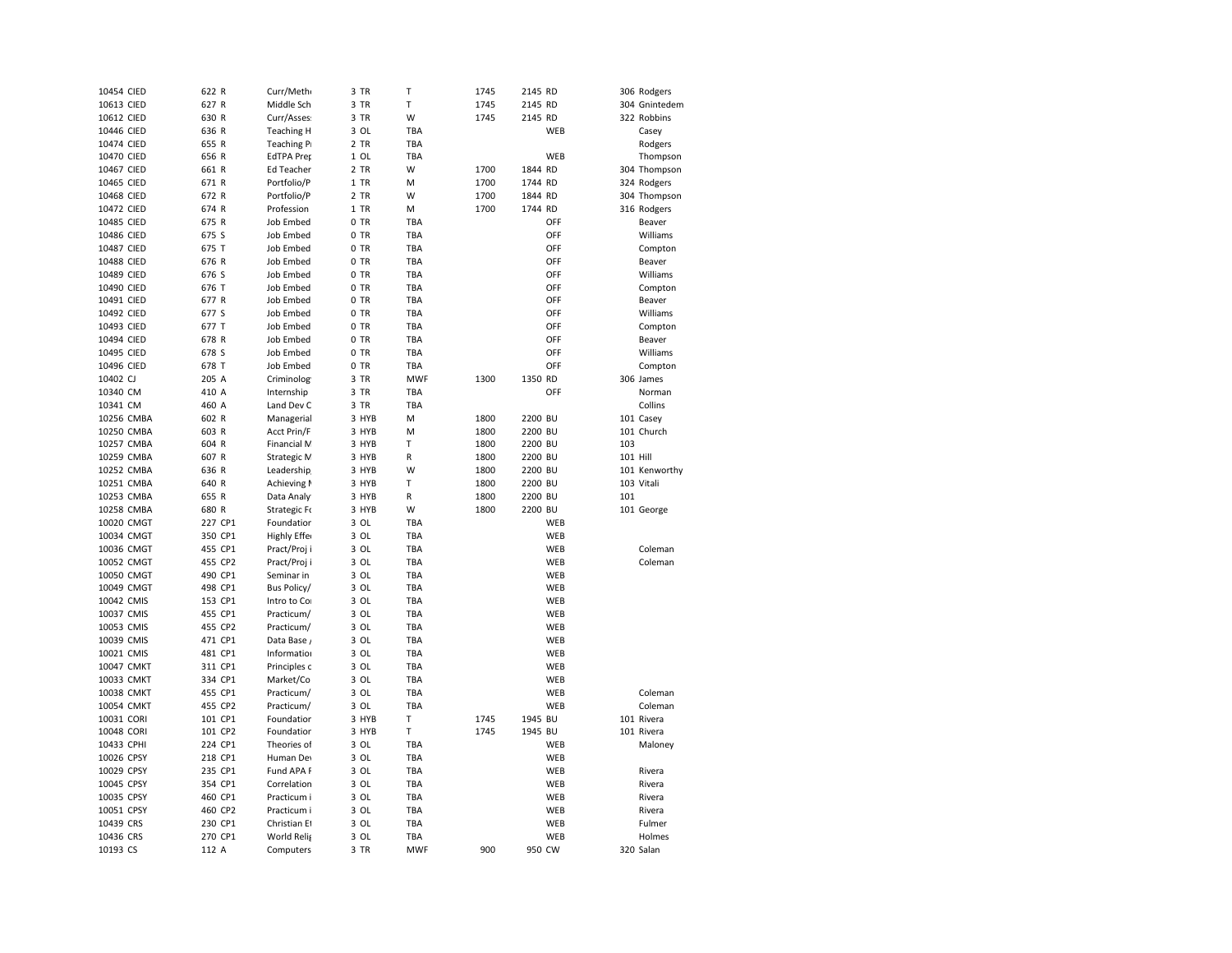| 10454 CIED | 622 R   | Curr/Meth         | 3 TR   | T          | 1745 | 2145 RD |     |          | 306 Rodgers   |
|------------|---------|-------------------|--------|------------|------|---------|-----|----------|---------------|
| 10613 CIED | 627 R   | Middle Sch        | 3 TR   | T          | 1745 | 2145 RD |     |          | 304 Gnintedem |
| 10612 CIED | 630 R   | Curr/Asses        | 3 TR   | W          | 1745 | 2145 RD |     |          | 322 Robbins   |
| 10446 CIED | 636 R   | <b>Teaching H</b> | 3 OL   | TBA        |      |         | WEB |          | Casey         |
| 10474 CIED | 655 R   | Teaching P        | 2 TR   | TBA        |      |         |     |          | Rodgers       |
| 10470 CIED | 656 R   | <b>EdTPA Pret</b> | $1$ OL | TBA        |      |         | WEB |          | Thompson      |
| 10467 CIED | 661 R   | Ed Teacher        | 2 TR   | W          | 1700 | 1844 RD |     |          | 304 Thompson  |
| 10465 CIED | 671 R   | Portfolio/P       | 1 TR   | M          | 1700 | 1744 RD |     |          | 324 Rodgers   |
| 10468 CIED | 672 R   | Portfolio/P       | 2 TR   | W          | 1700 | 1844 RD |     |          | 304 Thompson  |
| 10472 CIED | 674 R   | Profession        | 1 TR   | M          | 1700 | 1744 RD |     |          | 316 Rodgers   |
| 10485 CIED | 675 R   | <b>Job Embed</b>  | 0 TR   | TBA        |      |         | OFF |          | Beaver        |
| 10486 CIED | 675 S   | <b>Job Embed</b>  | 0 TR   | TBA        |      |         | OFF |          | Williams      |
| 10487 CIED | 675 T   | Job Embed         | 0 TR   | TBA        |      |         | OFF |          | Compton       |
| 10488 CIED | 676 R   | <b>Job Embed</b>  | 0 TR   | TBA        |      |         | OFF |          | Beaver        |
| 10489 CIED | 676 S   | Job Embed         | 0 TR   | TBA        |      |         | OFF |          | Williams      |
| 10490 CIED | 676 T   | <b>Job Embed</b>  | 0 TR   | TBA        |      |         | OFF |          | Compton       |
| 10491 CIED | 677 R   | <b>Job Embed</b>  | 0 TR   | TBA        |      |         | OFF |          | Beaver        |
| 10492 CIED | 677 S   | <b>Job Embed</b>  | 0 TR   | TBA        |      |         | OFF |          | Williams      |
| 10493 CIED | 677 T   | <b>Job Embed</b>  | 0 TR   | TBA        |      |         | OFF |          | Compton       |
| 10494 CIED | 678 R   | <b>Job Embed</b>  | 0 TR   | TBA        |      |         | OFF |          | Beaver        |
| 10495 CIED | 678 S   | <b>Job Embed</b>  | 0 TR   | TBA        |      |         | OFF |          | Williams      |
| 10496 CIED | 678 T   | <b>Job Embed</b>  | 0 TR   | TBA        |      |         | OFF |          | Compton       |
| 10402 CJ   | 205 A   | Criminolog        | 3 TR   | <b>MWF</b> | 1300 | 1350 RD |     |          | 306 James     |
| 10340 CM   | 410 A   | Internship        | 3 TR   | TBA        |      |         | OFF |          | Norman        |
| 10341 CM   | 460 A   | Land Dev C        | 3 TR   | TBA        |      |         |     |          | Collins       |
| 10256 CMBA | 602 R   | Managerial        | 3 HYB  | M          | 1800 | 2200 BU |     |          | 101 Casey     |
| 10250 CMBA | 603 R   | Acct Prin/F       | 3 HYB  | M          | 1800 | 2200 BU |     |          | 101 Church    |
| 10257 CMBA | 604 R   | Financial M       | 3 HYB  | Т          | 1800 | 2200 BU |     | 103      |               |
| 10259 CMBA | 607 R   | Strategic M       | 3 HYB  | R          | 1800 | 2200 BU |     | 101 Hill |               |
| 10252 CMBA | 636 R   | Leadership        | 3 HYB  | W          | 1800 | 2200 BU |     |          | 101 Kenworthy |
| 10251 CMBA | 640 R   | Achieving I       | 3 HYB  | Т          | 1800 | 2200 BU |     |          | 103 Vitali    |
| 10253 CMBA | 655 R   | Data Analy        | 3 HYB  | R          | 1800 | 2200 BU |     | 101      |               |
| 10258 CMBA | 680 R   | Strategic Fo      | 3 HYB  | W          | 1800 | 2200 BU |     |          | 101 George    |
| 10020 CMGT | 227 CP1 |                   | 3 OL   | TBA        |      |         | WEB |          |               |
| 10034 CMGT |         | Foundatior        | 3 OL   | TBA        |      |         | WEB |          |               |
| 10036 CMGT | 350 CP1 | Highly Effer      | 3 OL   | TBA        |      |         | WEB |          | Coleman       |
|            | 455 CP1 | Pract/Proj i      |        |            |      |         |     |          |               |
| 10052 CMGT | 455 CP2 | Pract/Proji       | 3 OL   | TBA        |      |         | WEB |          | Coleman       |
| 10050 CMGT | 490 CP1 | Seminar in        | 3 OL   | <b>TBA</b> |      |         | WEB |          |               |
| 10049 CMGT | 498 CP1 | Bus Policy/       | 3 OL   | TBA        |      |         | WEB |          |               |
| 10042 CMIS | 153 CP1 | Intro to Co       | 3 OL   | TBA        |      |         | WEB |          |               |
| 10037 CMIS | 455 CP1 | Practicum/        | 3 OL   | TBA        |      |         | WEB |          |               |
| 10053 CMIS | 455 CP2 | Practicum/        | 3 OL   | <b>TBA</b> |      |         | WEB |          |               |
| 10039 CMIS | 471 CP1 | Data Base,        | 3 OL   | TBA        |      |         | WEB |          |               |
| 10021 CMIS | 481 CP1 | Information       | 3 OL   | TBA        |      |         | WEB |          |               |
| 10047 CMKT | 311 CP1 | Principles c      | 3 OL   | TBA        |      |         | WEB |          |               |
| 10033 CMKT | 334 CP1 | Market/Co         | 3 OL   | TBA        |      |         | WEB |          |               |
| 10038 CMKT | 455 CP1 | Practicum/        | 3 OL   | TBA        |      |         | WEB |          | Coleman       |
| 10054 CMKT | 455 CP2 | Practicum/        | 3 OL   | TBA        |      |         | WEB |          | Coleman       |
| 10031 CORI | 101 CP1 | Foundatior        | 3 HYB  | T          | 1745 | 1945 BU |     |          | 101 Rivera    |
| 10048 CORI | 101 CP2 | Foundatior        | 3 HYB  | T          | 1745 | 1945 BU |     |          | 101 Rivera    |
| 10433 CPHI | 224 CP1 | Theories of       | 3 OL   | TBA        |      |         | WEB |          | Maloney       |
| 10026 CPSY | 218 CP1 | Human Dev         | 3 OL   | TBA        |      |         | WEB |          |               |
| 10029 CPSY | 235 CP1 | Fund APA F        | 3 OL   | TBA        |      |         | WEB |          | Rivera        |
| 10045 CPSY | 354 CP1 | Correlation       | 3 OL   | TBA        |      |         | WEB |          | Rivera        |
| 10035 CPSY | 460 CP1 | Practicum i       | 3 OL   | TBA        |      |         | WEB |          | Rivera        |
| 10051 CPSY | 460 CP2 | Practicum i       | 3 OL   | TBA        |      |         | WEB |          | Rivera        |
| 10439 CRS  | 230 CP1 | Christian Et      | 3 OL   | TBA        |      |         | WEB |          | Fulmer        |
| 10436 CRS  | 270 CP1 | World Relig       | 3 OL   | TBA        |      |         | WEB |          | Holmes        |
| 10193 CS   | 112 A   | Computers         | 3 TR   | <b>MWF</b> | 900  | 950 CW  |     |          | 320 Salan     |
|            |         |                   |        |            |      |         |     |          |               |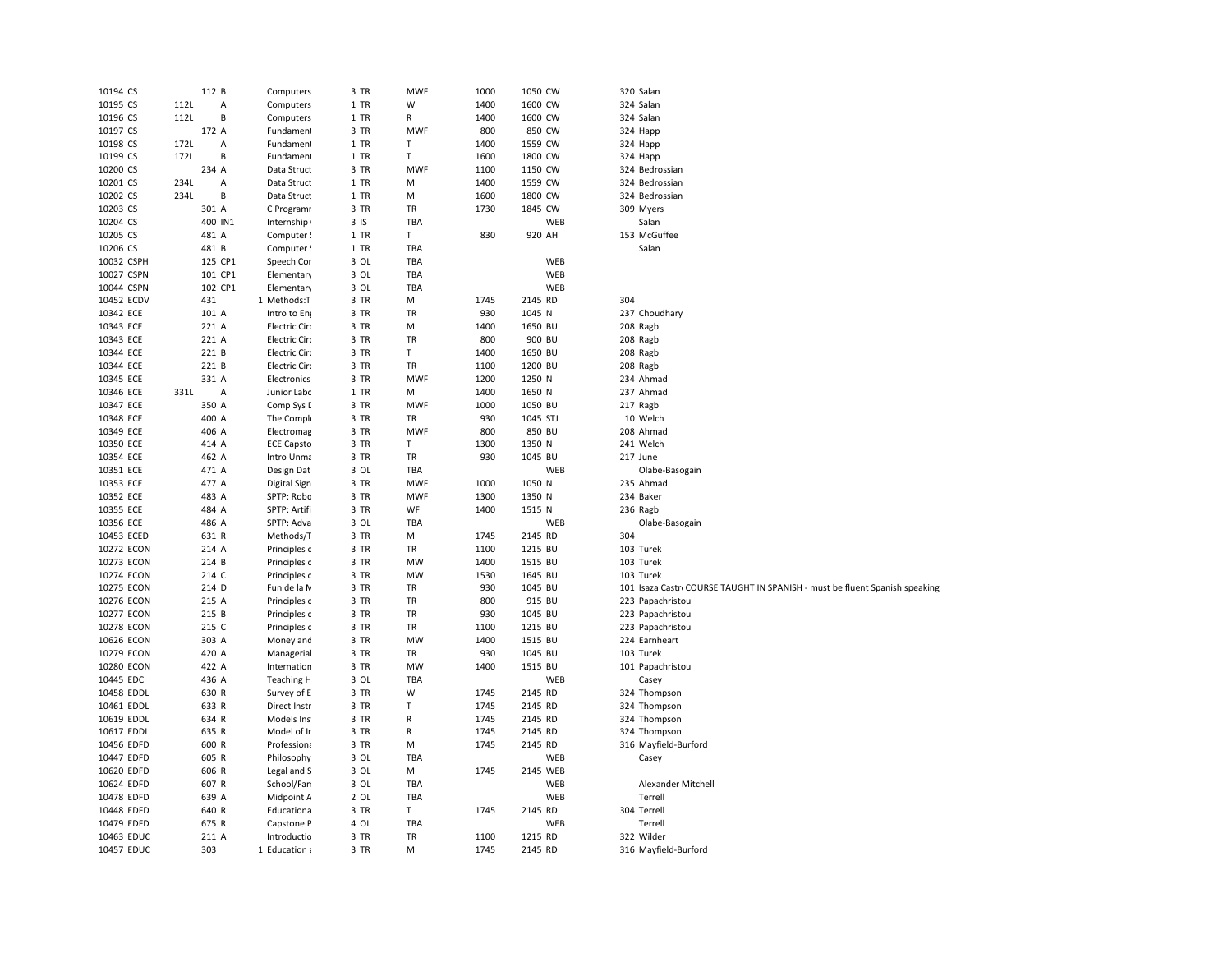| 10194 CS   | 112 B |         | Computers         | 3 TR | <b>MWF</b> | 1000 | 1050 CW  | 320 Salan                                                                   |
|------------|-------|---------|-------------------|------|------------|------|----------|-----------------------------------------------------------------------------|
| 10195 CS   | 112L  | А       | Computers         | 1 TR | W          | 1400 | 1600 CW  | 324 Salan                                                                   |
| 10196 CS   | 112L  | B       | Computers         | 1 TR | R          | 1400 | 1600 CW  | 324 Salan                                                                   |
| 10197 CS   | 172 A |         | Fundament         | 3 TR | <b>MWF</b> | 800  | 850 CW   | 324 Happ                                                                    |
| 10198 CS   | 172L  | Α       | Fundament         | 1 TR | т          | 1400 | 1559 CW  | 324 Happ                                                                    |
| 10199 CS   | 172L  | B       | Fundament         | 1 TR | т          | 1600 | 1800 CW  | 324 Happ                                                                    |
| 10200 CS   | 234 A |         | Data Struct       | 3 TR | <b>MWF</b> | 1100 | 1150 CW  | 324 Bedrossian                                                              |
| 10201 CS   | 234L  | Α       | Data Struct       | 1 TR | M          | 1400 | 1559 CW  | 324 Bedrossian                                                              |
| 10202 CS   | 234L  | B       | Data Struct       | 1 TR | M          | 1600 | 1800 CW  | 324 Bedrossian                                                              |
| 10203 CS   | 301 A |         | C Programr        | 3 TR | TR         | 1730 | 1845 CW  | 309 Myers                                                                   |
| 10204 CS   |       | 400 IN1 | Internship        | 3IS  | TBA        |      | WEB      | Salan                                                                       |
| 10205 CS   | 481 A |         | Computer !        | 1 TR | T          | 830  | 920 AH   | 153 McGuffee                                                                |
| 10206 CS   | 481 B |         | Computer!         | 1 TR | TBA        |      |          | Salan                                                                       |
| 10032 CSPH |       | 125 CP1 | Speech Cor        | 3 OL | <b>TBA</b> |      | WEB      |                                                                             |
| 10027 CSPN |       | 101 CP1 | Elementary        | 3 OL | <b>TBA</b> |      | WEB      |                                                                             |
| 10044 CSPN |       | 102 CP1 | Elementary        | 3 OL | <b>TBA</b> |      | WEB      |                                                                             |
| 10452 ECDV | 431   |         | 1 Methods:T       | 3 TR | M          | 1745 | 2145 RD  | 304                                                                         |
| 10342 ECE  | 101 A |         | Intro to En       | 3 TR | TR         | 930  | 1045 N   | 237 Choudhary                                                               |
| 10343 ECE  | 221 A |         | Electric Circ     | 3 TR | М          | 1400 | 1650 BU  | 208 Ragb                                                                    |
| 10343 ECE  | 221 A |         | Electric Circ     | 3 TR | TR         | 800  | 900 BU   | 208 Ragb                                                                    |
| 10344 ECE  | 221 B |         | Electric Circ     | 3 TR | T          | 1400 | 1650 BU  | 208 Ragb                                                                    |
| 10344 ECE  | 221 B |         | Electric Circ     | 3 TR | TR         | 1100 | 1200 BU  | 208 Ragb                                                                    |
| 10345 ECE  | 331 A |         | Electronics       | 3 TR | <b>MWF</b> | 1200 | 1250 N   | 234 Ahmad                                                                   |
| 10346 ECE  | 331L  | A       | Junior Labc       | 1 TR | M          | 1400 | 1650 N   | 237 Ahmad                                                                   |
| 10347 ECE  | 350 A |         | Comp Sys [        | 3 TR | <b>MWF</b> | 1000 | 1050 BU  | 217 Ragb                                                                    |
| 10348 ECE  | 400 A |         | The Compl         | 3 TR | TR         | 930  | 1045 STJ | 10 Welch                                                                    |
| 10349 ECE  | 406 A |         | Electromag        | 3 TR | <b>MWF</b> | 800  | 850 BU   | 208 Ahmad                                                                   |
| 10350 ECE  | 414 A |         | <b>ECE Capsto</b> | 3 TR | T          | 1300 | 1350 N   | 241 Welch                                                                   |
| 10354 ECE  | 462 A |         | Intro Unma        | 3 TR | TR         | 930  | 1045 BU  | 217 June                                                                    |
| 10351 ECE  | 471 A |         | Design Dat        | 3 OL | <b>TBA</b> |      | WEB      | Olabe-Basogain                                                              |
| 10353 ECE  | 477 A |         | Digital Sign      | 3 TR | <b>MWF</b> | 1000 | 1050 N   | 235 Ahmad                                                                   |
| 10352 ECE  | 483 A |         | SPTP: Robc        | 3 TR | <b>MWF</b> | 1300 | 1350 N   | 234 Baker                                                                   |
| 10355 ECE  | 484 A |         | SPTP: Artifi      | 3 TR | WF         | 1400 | 1515 N   | 236 Ragb                                                                    |
| 10356 ECE  | 486 A |         | SPTP: Adva        | 3 OL | TBA        |      | WEB      | Olabe-Basogain                                                              |
| 10453 ECED | 631 R |         | Methods/T         | 3 TR | М          | 1745 | 2145 RD  | 304                                                                         |
| 10272 ECON | 214 A |         | Principles c      | 3 TR | TR         | 1100 | 1215 BU  | 103 Turek                                                                   |
| 10273 ECON | 214 B |         | Principles c      | 3 TR | MW         | 1400 | 1515 BU  | 103 Turek                                                                   |
| 10274 ECON | 214 C |         | Principles c      | 3 TR | MW         | 1530 | 1645 BU  | 103 Turek                                                                   |
| 10275 ECON | 214 D |         | Fun de la N       | 3 TR | TR         | 930  | 1045 BU  | 101 Isaza Castr‹ COURSE TAUGHT IN SPANISH - must be fluent Spanish speaking |
| 10276 ECON | 215 A |         | Principles c      | 3 TR | TR         | 800  | 915 BU   | 223 Papachristou                                                            |
| 10277 ECON | 215 B |         | Principles c      | 3 TR | TR         | 930  | 1045 BU  | 223 Papachristou                                                            |
| 10278 ECON | 215 C |         | Principles c      | 3 TR | TR         | 1100 | 1215 BU  | 223 Papachristou                                                            |
| 10626 ECON | 303 A |         | Money and         | 3 TR | MW         | 1400 | 1515 BU  | 224 Earnheart                                                               |
| 10279 ECON | 420 A |         | Managerial        | 3 TR | TR         | 930  | 1045 BU  | 103 Turek                                                                   |
| 10280 ECON | 422 A |         | Internation       | 3 TR | MW         | 1400 | 1515 BU  | 101 Papachristou                                                            |
| 10445 EDCI | 436 A |         | <b>Teaching H</b> | 3 OL | <b>TBA</b> |      | WEB      | Casey                                                                       |
| 10458 EDDL | 630 R |         | Survey of E       | 3 TR | W          | 1745 | 2145 RD  | 324 Thompson                                                                |
| 10461 EDDL | 633 R |         | Direct Instr      | 3 TR | Т          | 1745 | 2145 RD  | 324 Thompson                                                                |
| 10619 EDDL | 634 R |         | Models Ins        | 3 TR | R          | 1745 | 2145 RD  | 324 Thompson                                                                |
| 10617 EDDL | 635 R |         | Model of Ir       | 3 TR | R          | 1745 | 2145 RD  | 324 Thompson                                                                |
| 10456 EDFD | 600 R |         | Professiona       | 3 TR | М          | 1745 | 2145 RD  | 316 Mayfield-Burford                                                        |
| 10447 EDFD | 605 R |         | Philosophy        | 3 OL | TBA        |      | WEB      | Casey                                                                       |
| 10620 EDFD | 606 R |         | Legal and S       | 3 OL | М          | 1745 | 2145 WEB |                                                                             |
| 10624 EDFD | 607 R |         | School/Fan        | 3 OL | <b>TBA</b> |      | WEB      | Alexander Mitchell                                                          |
| 10478 EDFD | 639 A |         | Midpoint A        | 2 OL | TBA        |      | WEB      | Terrell                                                                     |
| 10448 EDFD | 640 R |         | Educationa        | 3 TR | T.         | 1745 | 2145 RD  | 304 Terrell                                                                 |
| 10479 EDFD | 675 R |         | Capstone P        | 4 OL | TBA        |      | WEB      | Terrell                                                                     |
| 10463 EDUC | 211 A |         | Introductio       | 3 TR | TR         | 1100 | 1215 RD  | 322 Wilder                                                                  |
| 10457 EDUC | 303   |         | 1 Education a     | 3 TR | M          | 1745 | 2145 RD  | 316 Mayfield-Burford                                                        |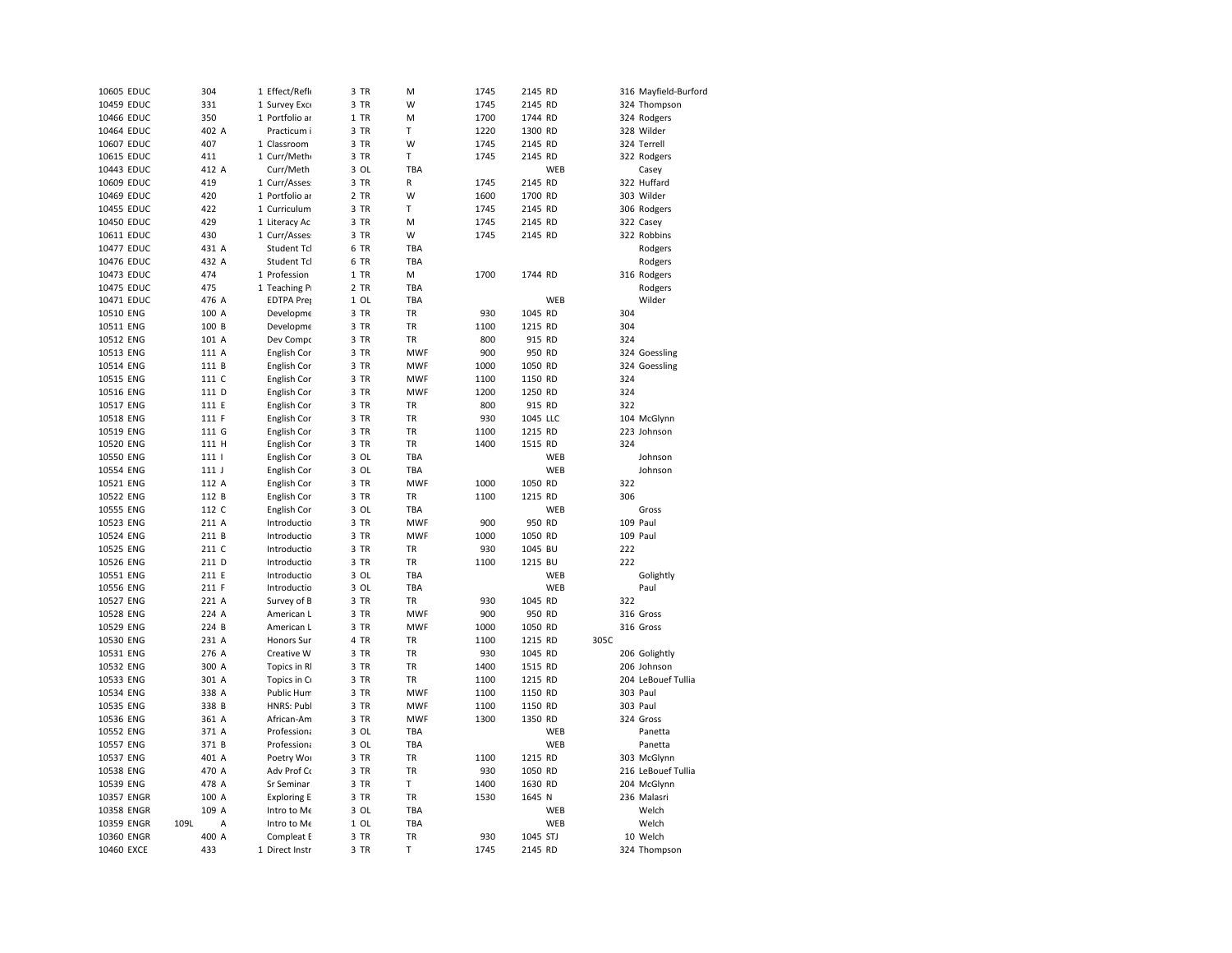| 10605 EDUC | 304              | 1 Effect/Refle     | 3 TR               | M          | 1745 | 2145 RD  |      | 316 Mayfield-Burford |
|------------|------------------|--------------------|--------------------|------------|------|----------|------|----------------------|
| 10459 EDUC | 331              | 1 Survey Exc       | 3 TR               | W          | 1745 | 2145 RD  |      | 324 Thompson         |
| 10466 EDUC | 350              | 1 Portfolio ar     | 1 TR               | M          | 1700 | 1744 RD  |      | 324 Rodgers          |
| 10464 EDUC | 402 A            | Practicum i        | 3 TR               | T          | 1220 | 1300 RD  |      | 328 Wilder           |
| 10607 EDUC | 407              | 1 Classroom        | 3 TR               | W          | 1745 | 2145 RD  |      | 324 Terrell          |
| 10615 EDUC | 411              | 1 Curr/Meth        | 3<br>TR            | T          | 1745 | 2145 RD  |      | 322 Rodgers          |
| 10443 EDUC | 412 A            | Curr/Meth          | 3 OL               | TBA        |      | WEB      |      | Casey                |
| 10609 EDUC | 419              | 1 Curr/Asses       | 3 TR               | R          | 1745 | 2145 RD  |      | 322 Huffard          |
| 10469 EDUC | 420              | 1 Portfolio ar     | 2 TR               | W          | 1600 | 1700 RD  |      | 303 Wilder           |
| 10455 EDUC | 422              | 1 Curriculum       | 3 TR               | T          | 1745 | 2145 RD  |      | 306 Rodgers          |
| 10450 EDUC | 429              | 1 Literacy Ac      | 3 TR               | M          | 1745 | 2145 RD  |      | 322 Casey            |
| 10611 EDUC | 430              | 1 Curr/Asses       | 3 TR               | W          | 1745 | 2145 RD  |      | 322 Robbins          |
| 10477 EDUC | 431 A            | Student Tcl        | 6<br>TR            | TBA        |      |          |      | Rodgers              |
| 10476 EDUC | 432 A            | Student Tcl        | 6 TR               | TBA        |      |          |      | Rodgers              |
| 10473 EDUC | 474              | 1 Profession       | 1 TR               | м          | 1700 | 1744 RD  |      | 316 Rodgers          |
| 10475 EDUC | 475              | 1 Teaching P       | 2 TR               | TBA        |      |          |      | Rodgers              |
| 10471 EDUC | 476 A            | <b>EDTPA Prej</b>  | 1 OL               | TBA        |      | WEB      |      | Wilder               |
| 10510 ENG  | 100 A            | Developme          | 3 TR               | TR         | 930  | 1045 RD  | 304  |                      |
| 10511 ENG  | 100 B            | Developme          | 3 TR               | <b>TR</b>  | 1100 | 1215 RD  | 304  |                      |
| 10512 ENG  | 101 A            | Dev Compo          | 3 TR               | <b>TR</b>  | 800  | 915 RD   | 324  |                      |
| 10513 ENG  | 111 A            | English Cor        | 3 TR               | <b>MWF</b> | 900  | 950 RD   |      | 324 Goessling        |
| 10514 ENG  | 111 B            | English Cor        | 3 TR               | <b>MWF</b> | 1000 | 1050 RD  |      | 324 Goessling        |
| 10515 ENG  | 111 C            | English Cor        | 3 TR               | <b>MWF</b> | 1100 | 1150 RD  | 324  |                      |
| 10516 ENG  | 111 D            | English Cor        | 3<br>TR            | <b>MWF</b> | 1200 | 1250 RD  | 324  |                      |
| 10517 ENG  | 111 E            | English Cor        | 3 TR               | TR         | 800  | 915 RD   | 322  |                      |
| 10518 ENG  | 111 F            | English Cor        | 3 TR               | TR         | 930  | 1045 LLC |      | 104 McGlynn          |
| 10519 ENG  | 111 G            | English Cor        | 3 TR               | TR         | 1100 | 1215 RD  |      | 223 Johnson          |
| 10520 ENG  | 111 H            | English Cor        | 3<br>TR            | TR         | 1400 | 1515 RD  | 324  |                      |
| 10550 ENG  | 111 <sub>1</sub> |                    | 3 OL               | TBA        |      | WEB      |      | Johnson              |
| 10554 ENG  | 111 <sub>1</sub> | English Cor        | 3 OL               | TBA        |      | WEB      |      | Johnson              |
|            |                  | English Cor        | 3 TR               | <b>MWF</b> | 1000 | 1050 RD  | 322  |                      |
| 10521 ENG  | 112 A            | English Cor        |                    |            |      |          |      |                      |
| 10522 ENG  | 112 B            | English Cor        | 3 TR               | TR         | 1100 | 1215 RD  | 306  |                      |
| 10555 ENG  | 112 C            | English Cor        | 3 OL               | TBA        |      | WEB      |      | Gross                |
| 10523 ENG  | 211 A            | Introductio        | 3 TR               | <b>MWF</b> | 900  | 950 RD   |      | 109 Paul             |
| 10524 ENG  | 211 B            | Introductio        | 3 TR               | <b>MWF</b> | 1000 | 1050 RD  |      | 109 Paul             |
| 10525 ENG  | 211 C            | Introductio        | 3 TR               | <b>TR</b>  | 930  | 1045 BU  | 222  |                      |
| 10526 ENG  | 211 D            | Introductio        | 3 TR               | TR         | 1100 | 1215 BU  | 222  |                      |
| 10551 ENG  | 211 E            | Introductio        | 3 OL               | <b>TBA</b> |      | WEB      |      | Golightly            |
| 10556 ENG  | 211 F            | Introductio        | 3 OL               | TBA        |      | WEB      |      | Paul                 |
| 10527 ENG  | 221 A            | Survey of B        | 3 TR               | TR         | 930  | 1045 RD  | 322  |                      |
| 10528 ENG  | 224 A            | American L         | 3 TR               | <b>MWF</b> | 900  | 950 RD   |      | 316 Gross            |
| 10529 ENG  | 224 B            | American L         | 3 TR               | <b>MWF</b> | 1000 | 1050 RD  |      | 316 Gross            |
| 10530 ENG  | 231 A            | <b>Honors Sur</b>  | 4 TR               | <b>TR</b>  | 1100 | 1215 RD  | 305C |                      |
| 10531 ENG  | 276 A            | Creative W         | 3 TR               | TR         | 930  | 1045 RD  |      | 206 Golightly        |
| 10532 ENG  | 300 A            | Topics in R        | 3 TR               | TR         | 1400 | 1515 RD  |      | 206 Johnson          |
| 10533 ENG  | 301 A            | Topics in C        | 3 TR               | TR         | 1100 | 1215 RD  |      | 204 LeBouef Tullia   |
| 10534 ENG  | 338 A            | Public Hum         | 3 TR               | <b>MWF</b> | 1100 | 1150 RD  |      | 303 Paul             |
| 10535 ENG  | 338 B            | HNRS: Publ         | 3 TR               | <b>MWF</b> | 1100 | 1150 RD  |      | 303 Paul             |
| 10536 ENG  | 361 A            | African-Am         | 3 TR               | <b>MWF</b> | 1300 | 1350 RD  |      | 324 Gross            |
| 10552 ENG  | 371 A            | Professiona        | 3<br>OL            | TBA        |      | WEB      |      | Panetta              |
| 10557 ENG  | 371 B            | Professiona        | 3 OL               | TBA        |      | WEB      |      | Panetta              |
| 10537 ENG  | 401 A            | Poetry Wor         | 3 TR               | <b>TR</b>  | 1100 | 1215 RD  |      | 303 McGlynn          |
| 10538 ENG  | 470 A            | Adv Prof Co        | 3 TR               | <b>TR</b>  | 930  | 1050 RD  |      | 216 LeBouef Tullia   |
| 10539 ENG  | 478 A            | Sr Seminar         | 3 TR               | T          | 1400 | 1630 RD  |      | 204 McGlynn          |
| 10357 ENGR | 100 A            | <b>Exploring E</b> | 3 TR               | TR         | 1530 | 1645 N   |      | 236 Malasri          |
| 10358 ENGR | 109 A            | Intro to Me        | 3 OL               | TBA        |      | WEB      |      | Welch                |
| 10359 ENGR | 109L<br>Α        | Intro to Me        | $\mathbf{1}$<br>OL | TBA        |      | WEB      |      | Welch                |
| 10360 ENGR | 400 A            | Compleat E         | 3 TR               | TR         | 930  | 1045 STJ |      | 10 Welch             |
| 10460 EXCE | 433              | 1 Direct Instr     | 3 TR               | T          | 1745 | 2145 RD  |      | 324 Thompson         |
|            |                  |                    |                    |            |      |          |      |                      |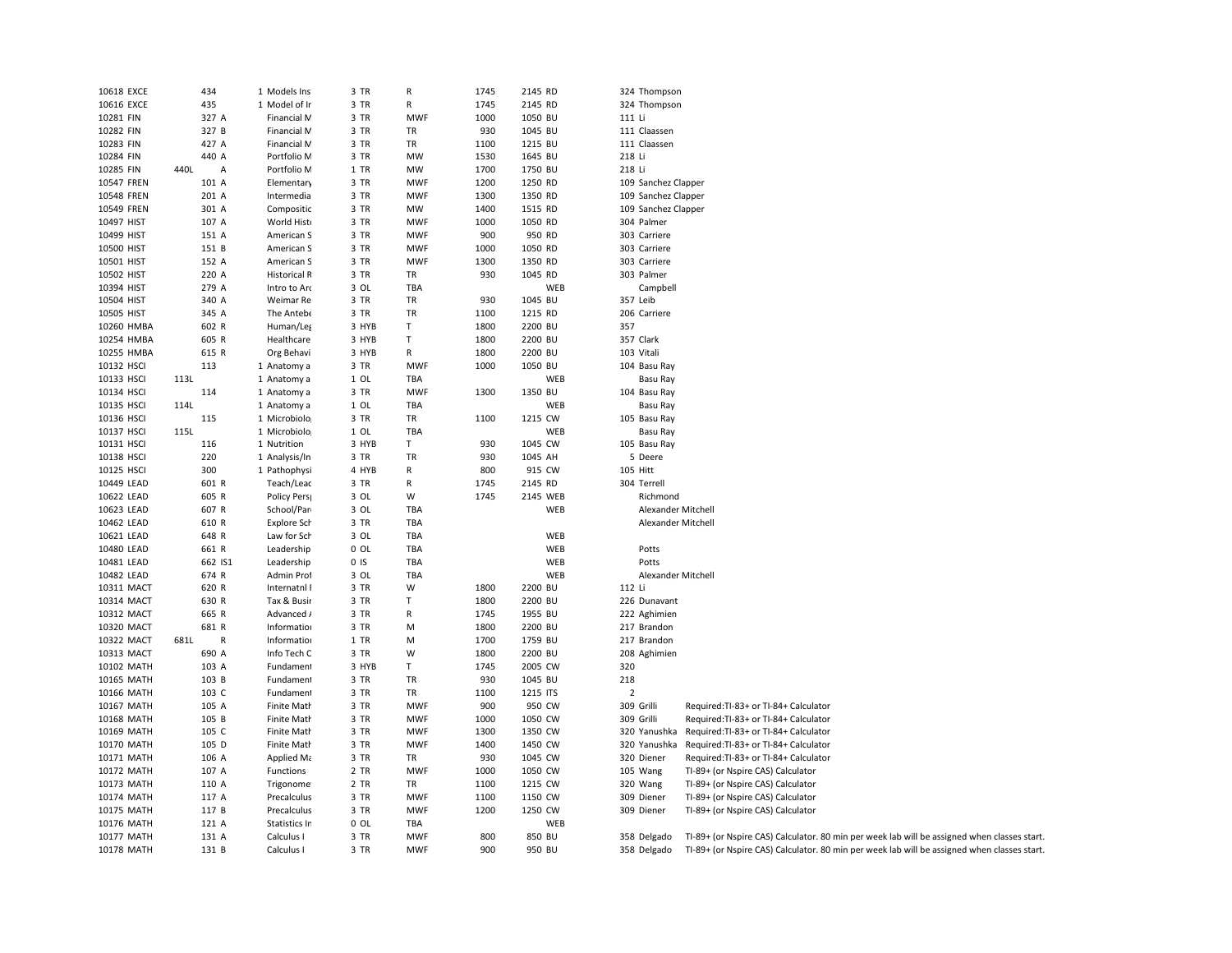| 10618 EXCE | 434                  | 1 Models Ins        | 3 TR            | R          | 1745 | 2145 RD  | 324 Thompson               |                                                                                             |
|------------|----------------------|---------------------|-----------------|------------|------|----------|----------------------------|---------------------------------------------------------------------------------------------|
| 10616 EXCE | 435                  | 1 Model of Ir       | 3 TR            | R          | 1745 | 2145 RD  | 324 Thompson               |                                                                                             |
| 10281 FIN  | 327 A                | Financial M         | 3 TR            | <b>MWF</b> | 1000 | 1050 BU  | 111 Li                     |                                                                                             |
| 10282 FIN  | 327 B                | Financial M         | 3 TR            | TR         | 930  | 1045 BU  | 111 Claassen               |                                                                                             |
| 10283 FIN  | 427 A                | Financial M         | 3 TR            | TR         | 1100 | 1215 BU  | 111 Claassen               |                                                                                             |
| 10284 FIN  | 440 A                | Portfolio M         | 3 TR            | MW         | 1530 | 1645 BU  | 218 Li                     |                                                                                             |
| 10285 FIN  | 440L<br>Α            | Portfolio M         | $1$ TR          | MW         | 1700 | 1750 BU  | 218 Li                     |                                                                                             |
| 10547 FREN | 101 A                | Elementary          | 3 TR            | <b>MWF</b> | 1200 | 1250 RD  | 109 Sanchez Clapper        |                                                                                             |
| 10548 FREN | 201 A                | Intermedia          | 3 TR            | <b>MWF</b> | 1300 | 1350 RD  | 109 Sanchez Clapper        |                                                                                             |
| 10549 FREN | 301 A                | Compositic          | 3 TR            | MW         | 1400 | 1515 RD  | 109 Sanchez Clapper        |                                                                                             |
| 10497 HIST | 107 A                | World Hist          | 3 TR            | <b>MWF</b> | 1000 | 1050 RD  | 304 Palmer                 |                                                                                             |
| 10499 HIST | 151 A                | American S          | 3 TR            | <b>MWF</b> | 900  | 950 RD   | 303 Carriere               |                                                                                             |
| 10500 HIST | 151 B                | American S          | 3 TR            | <b>MWF</b> | 1000 | 1050 RD  | 303 Carriere               |                                                                                             |
| 10501 HIST | 152 A                |                     |                 |            | 1300 | 1350 RD  | 303 Carriere               |                                                                                             |
|            |                      | American S          | 3 TR            | <b>MWF</b> |      |          |                            |                                                                                             |
| 10502 HIST | 220 A                | <b>Historical R</b> | 3 TR            | TR         | 930  | 1045 RD  | 303 Palmer                 |                                                                                             |
| 10394 HIST | 279 A                | Intro to Arc        | 3 OL            | TBA        |      | WEB      | Campbell                   |                                                                                             |
| 10504 HIST | 340 A                | Weimar Re           | 3 TR            | TR         | 930  | 1045 BU  | 357 Leib                   |                                                                                             |
| 10505 HIST | 345 A                | The Antebe          | 3 TR            | TR         | 1100 | 1215 RD  | 206 Carriere               |                                                                                             |
| 10260 HMBA | 602 R                | Human/Leg           | 3 HYB           | T.         | 1800 | 2200 BU  | 357                        |                                                                                             |
| 10254 HMBA | 605 R                | Healthcare          | 3 HYB           | T          | 1800 | 2200 BU  | 357 Clark                  |                                                                                             |
| 10255 HMBA | 615 R                | Org Behavi          | 3 HYB           | R          | 1800 | 2200 BU  | 103 Vitali                 |                                                                                             |
| 10132 HSCI | 113                  | 1 Anatomy a         | 3 TR            | <b>MWF</b> | 1000 | 1050 BU  | 104 Basu Ray               |                                                                                             |
| 10133 HSCI | 113L                 | 1 Anatomy a         | 1 OL            | TBA        |      | WEB      | Basu Ray                   |                                                                                             |
| 10134 HSCI | 114                  | 1 Anatomy a         | 3 TR            | <b>MWF</b> | 1300 | 1350 BU  | 104 Basu Ray               |                                                                                             |
| 10135 HSCI | 114L                 | 1 Anatomy a         | $1$ OL          | TBA        |      | WEB      | <b>Basu Ray</b>            |                                                                                             |
| 10136 HSCI | 115                  | 1 Microbiolo        | 3 TR            | TR         | 1100 | 1215 CW  | 105 Basu Ray               |                                                                                             |
| 10137 HSCI | 115L                 | 1 Microbiolo        | $1$ OL          | TBA        |      | WEB      | Basu Ray                   |                                                                                             |
| 10131 HSCI | 116                  | 1 Nutrition         | 3 HYB           | T.         | 930  | 1045 CW  | 105 Basu Ray               |                                                                                             |
| 10138 HSCI | 220                  | 1 Analysis/In       | 3 TR            | TR         | 930  | 1045 AH  | 5 Deere                    |                                                                                             |
| 10125 HSCI | 300                  | 1 Pathophysi        | 4 HYB           | R          | 800  | 915 CW   | 105 Hitt                   |                                                                                             |
| 10449 LEAD | 601 R                | Teach/Leac          | 3 TR            | R          | 1745 | 2145 RD  | 304 Terrell                |                                                                                             |
| 10622 LEAD | 605 R                | Policy Pers         | 3 OL            | W          | 1745 | 2145 WEB | Richmond                   |                                                                                             |
| 10623 LEAD | 607 R                | School/Par          | 3 OL            | TBA        |      | WEB      | Alexander Mitchell         |                                                                                             |
| 10462 LEAD | 610 R                | Explore Sch         | 3 TR            | TBA        |      |          | Alexander Mitchell         |                                                                                             |
| 10621 LEAD | 648 R                | Law for Sch         | 3 OL            | TBA        |      | WEB      |                            |                                                                                             |
| 10480 LEAD | 661 R                | Leadership          | $0$ OL          | TBA        |      | WEB      | Potts                      |                                                                                             |
| 10481 LEAD | 662 IS1              | Leadership          | 0 <sub>15</sub> | TBA        |      | WEB      | Potts                      |                                                                                             |
| 10482 LEAD | 674 R                | Admin Prof          | 3 OL            | TBA        |      | WEB      | Alexander Mitchell         |                                                                                             |
| 10311 MACT | 620 R                | Internatnl I        | 3 TR            | W          | 1800 | 2200 BU  | 112 Li                     |                                                                                             |
| 10314 MACT | 630 R                | Tax & Busir         | 3 TR            | T          | 1800 | 2200 BU  | 226 Dunavant               |                                                                                             |
| 10312 MACT | 665 R                | Advanced /          | 3 TR            | R          | 1745 | 1955 BU  | 222 Aghimien               |                                                                                             |
| 10320 MACT | 681 R                | Information         | 3 TR            | M          | 1800 | 2200 BU  | 217 Brandon                |                                                                                             |
| 10322 MACT | 681L<br>$\mathsf{R}$ | Information         | $1$ TR          | M          | 1700 | 1759 BU  | 217 Brandon                |                                                                                             |
| 10313 MACT | 690 A                | Info Tech C         | 3 TR            | W          | 1800 | 2200 BU  | 208 Aghimien               |                                                                                             |
| 10102 MATH | 103 A                | Fundament           | 3 HYB           | T          | 1745 | 2005 CW  | 320                        |                                                                                             |
| 10165 MATH | 103 B                | Fundament           | 3 TR            | TR         | 930  | 1045 BU  | 218                        |                                                                                             |
| 10166 MATH | 103 C                | Fundament           | 3 TR            | TR         | 1100 | 1215 ITS | $\overline{2}$             |                                                                                             |
| 10167 MATH | 105 A                | <b>Finite Math</b>  | 3 TR            | <b>MWF</b> | 900  | 950 CW   | 309 Grilli                 | Required:TI-83+ or TI-84+ Calculator                                                        |
| 10168 MATH | 105 B                | Finite Math         | 3 TR            | <b>MWF</b> | 1000 | 1050 CW  | 309 Grilli                 | Required:TI-83+ or TI-84+ Calculator                                                        |
| 10169 MATH | 105 C                | Finite Math         | 3 TR            | <b>MWF</b> | 1300 | 1350 CW  | 320 Yanushka               | Required: TI-83+ or TI-84+ Calculator                                                       |
| 10170 MATH | 105 D                | Finite Math         | 3 TR            | <b>MWF</b> | 1400 | 1450 CW  |                            |                                                                                             |
| 10171 MATH | 106 A                | Applied Ma          | 3 TR            | TR         | 930  | 1045 CW  | 320 Yanushka<br>320 Diener | Required:TI-83+ or TI-84+ Calculator<br>Required:TI-83+ or TI-84+ Calculator                |
|            | 107 A                | Functions           | 2 TR            | <b>MWF</b> | 1000 | 1050 CW  |                            |                                                                                             |
| 10172 MATH |                      |                     |                 |            |      |          | 105 Wang                   | TI-89+ (or Nspire CAS) Calculator                                                           |
| 10173 MATH | 110 A                | Trigonome           | 2 TR            | TR         | 1100 | 1215 CW  | 320 Wang                   | TI-89+ (or Nspire CAS) Calculator                                                           |
| 10174 MATH | 117 A                | Precalculus         | 3 TR            | <b>MWF</b> | 1100 | 1150 CW  | 309 Diener                 | TI-89+ (or Nspire CAS) Calculator                                                           |
| 10175 MATH | 117 B                | Precalculus         | 3 TR            | MWF        | 1200 | 1250 CW  | 309 Diener                 | TI-89+ (or Nspire CAS) Calculator                                                           |
| 10176 MATH | 121 A                | Statistics Ir       | 0 OL            | TBA        |      | WEB      |                            |                                                                                             |
| 10177 MATH | 131 A                | Calculus I          | 3 TR            | MWF        | 800  | 850 BU   | 358 Delgado                | TI-89+ (or Nspire CAS) Calculator. 80 min per week lab will be assigned when classes start. |
| 10178 MATH | 131 B                | Calculus I          | 3 TR            | <b>MWF</b> | 900  | 950 BU   | 358 Delgado                | TI-89+ (or Nspire CAS) Calculator. 80 min per week lab will be assigned when classes start. |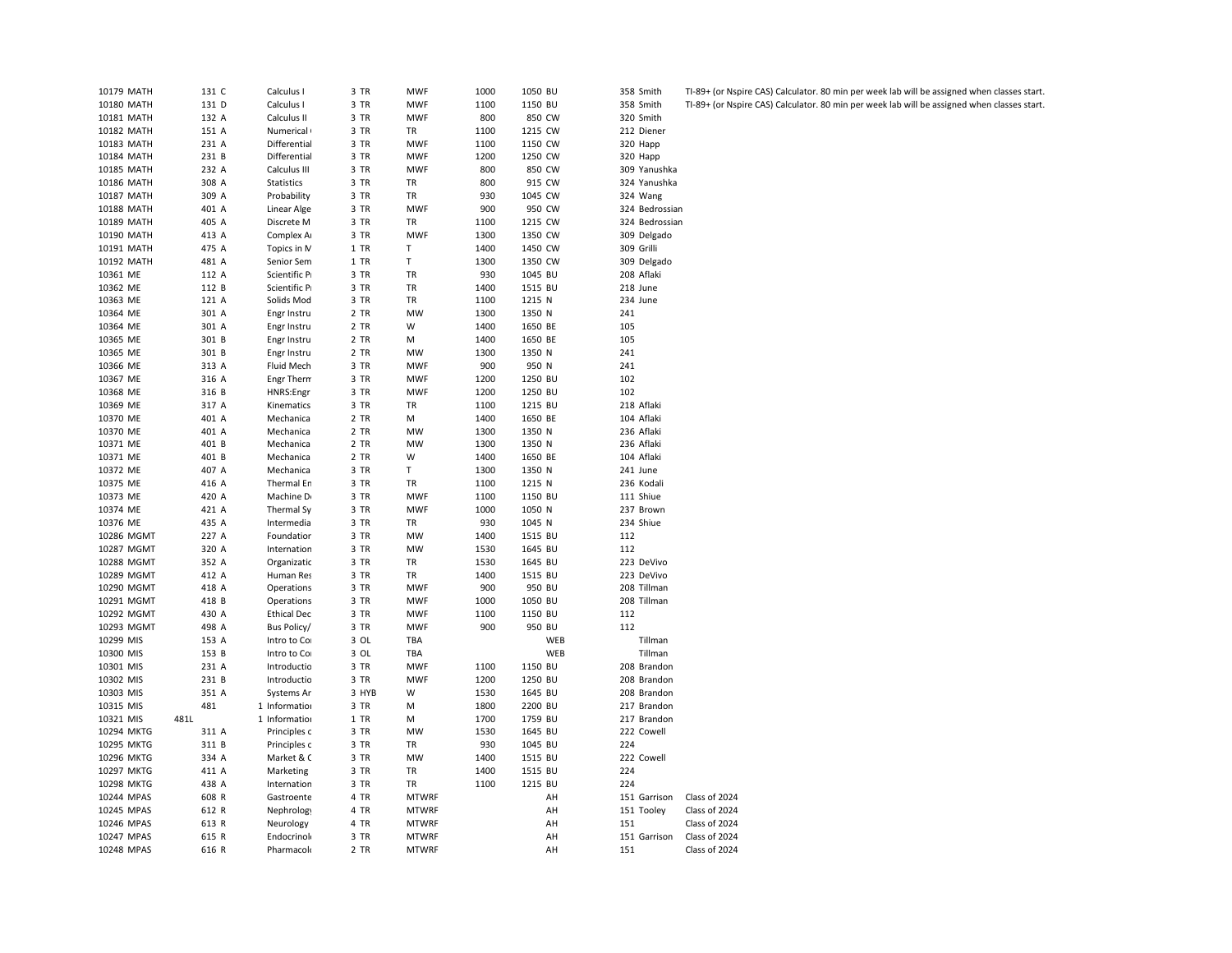| 10179 MATH | 131 C | Calculus I         | 3 TR  | <b>MWF</b>   | 1000 | 1050 BU | 358 Smith      | TI-89+ (or Ns |
|------------|-------|--------------------|-------|--------------|------|---------|----------------|---------------|
| 10180 MATH | 131 D | Calculus I         | 3 TR  | <b>MWF</b>   | 1100 | 1150 BU | 358 Smith      | TI-89+ (or Ns |
| 10181 MATH | 132 A | Calculus II        | 3 TR  | <b>MWF</b>   | 800  | 850 CW  | 320 Smith      |               |
| 10182 MATH | 151 A | Numerical          | 3 TR  | TR           | 1100 | 1215 CW | 212 Diener     |               |
| 10183 MATH | 231 A | Differential       | 3 TR  | <b>MWF</b>   | 1100 | 1150 CW | 320 Happ       |               |
| 10184 MATH | 231 B | Differential       | 3 TR  | <b>MWF</b>   | 1200 | 1250 CW | 320 Happ       |               |
| 10185 MATH | 232 A | Calculus III       | 3 TR  | <b>MWF</b>   | 800  | 850 CW  | 309 Yanushka   |               |
| 10186 MATH | 308 A | <b>Statistics</b>  | 3 TR  | TR           | 800  | 915 CW  | 324 Yanushka   |               |
| 10187 MATH | 309 A | Probability        | 3 TR  | TR           | 930  | 1045 CW | 324 Wang       |               |
| 10188 MATH | 401 A | Linear Alge        | 3 TR  | <b>MWF</b>   | 900  | 950 CW  | 324 Bedrossian |               |
| 10189 MATH | 405 A | Discrete M         | 3 TR  | TR           | 1100 | 1215 CW | 324 Bedrossian |               |
| 10190 MATH | 413 A | Complex A          | 3 TR  | <b>MWF</b>   | 1300 | 1350 CW | 309 Delgado    |               |
| 10191 MATH | 475 A | Topics in N        | 1 TR  | T            | 1400 | 1450 CW | 309 Grilli     |               |
| 10192 MATH | 481 A | Senior Sem         | 1 TR  | T            | 1300 | 1350 CW | 309 Delgado    |               |
| 10361 ME   | 112 A | Scientific P       | 3 TR  | TR           | 930  | 1045 BU | 208 Aflaki     |               |
| 10362 ME   | 112 B | Scientific P       | 3 TR  | TR           | 1400 | 1515 BU | 218 June       |               |
| 10363 ME   | 121 A | Solids Mod         | 3 TR  | TR           | 1100 | 1215 N  | 234 June       |               |
| 10364 ME   | 301 A | Engr Instru        | 2 TR  | MW           | 1300 | 1350 N  | 241            |               |
| 10364 ME   | 301 A | Engr Instru        | 2 TR  | W            | 1400 | 1650 BE | 105            |               |
| 10365 ME   | 301 B | Engr Instru        | 2 TR  | M            | 1400 | 1650 BE | 105            |               |
| 10365 ME   | 301 B | Engr Instru        | 2 TR  | <b>MW</b>    | 1300 | 1350 N  | 241            |               |
| 10366 ME   | 313 A | Fluid Mech         | 3 TR  | <b>MWF</b>   | 900  | 950 N   | 241            |               |
| 10367 ME   | 316 A | Engr Thern         | 3 TR  | <b>MWF</b>   | 1200 | 1250 BU | 102            |               |
| 10368 ME   | 316 B | HNRS:Engr          | 3 TR  | <b>MWF</b>   | 1200 | 1250 BU | 102            |               |
| 10369 ME   | 317 A | Kinematics         | 3 TR  | TR           | 1100 | 1215 BU | 218 Aflaki     |               |
| 10370 ME   | 401 A | Mechanica          | 2 TR  | М            | 1400 | 1650 BE | 104 Aflaki     |               |
| 10370 ME   | 401 A | Mechanica          | 2 TR  | MW           | 1300 | 1350 N  | 236 Aflaki     |               |
| 10371 ME   | 401 B | Mechanica          | 2 TR  | MW           | 1300 | 1350 N  | 236 Aflaki     |               |
| 10371 ME   | 401 B | Mechanica          | 2 TR  | W            | 1400 | 1650 BE | 104 Aflaki     |               |
| 10372 ME   | 407 A | Mechanica          | 3 TR  | T            | 1300 | 1350 N  | 241 June       |               |
| 10375 ME   | 416 A | Thermal En         | 3 TR  | TR           | 1100 | 1215 N  | 236 Kodali     |               |
| 10373 ME   | 420 A | Machine D          | 3 TR  | <b>MWF</b>   | 1100 | 1150 BU | 111 Shiue      |               |
| 10374 ME   | 421 A | Thermal Sy         | 3 TR  | <b>MWF</b>   | 1000 | 1050 N  | 237 Brown      |               |
| 10376 ME   | 435 A | Intermedia         | 3 TR  | TR           | 930  | 1045 N  | 234 Shiue      |               |
| 10286 MGMT | 227 A | Foundatior         | 3 TR  | MW           | 1400 | 1515 BU | 112            |               |
| 10287 MGMT | 320 A | Internation        | 3 TR  | MW           | 1530 | 1645 BU | 112            |               |
| 10288 MGMT | 352 A | Organizatic        | 3 TR  | TR           | 1530 | 1645 BU | 223 DeVivo     |               |
| 10289 MGMT | 412 A | Human Res          | 3 TR  | TR           | 1400 | 1515 BU | 223 DeVivo     |               |
| 10290 MGMT | 418 A | Operations         | 3 TR  | <b>MWF</b>   | 900  | 950 BU  | 208 Tillman    |               |
| 10291 MGMT | 418 B | Operations         | 3 TR  | <b>MWF</b>   | 1000 | 1050 BU | 208 Tillman    |               |
| 10292 MGMT | 430 A | <b>Ethical Dec</b> | 3 TR  | <b>MWF</b>   | 1100 | 1150 BU | 112            |               |
| 10293 MGMT | 498 A | Bus Policy/        | 3 TR  | <b>MWF</b>   | 900  | 950 BU  | 112            |               |
| 10299 MIS  | 153 A | Intro to Co        | 3 OL  | TBA          |      | WEB     | Tillman        |               |
| 10300 MIS  | 153 B | Intro to Co        | 3 OL  | TBA          |      | WEB     | Tillman        |               |
| 10301 MIS  | 231 A | Introductio        | 3 TR  | <b>MWF</b>   | 1100 | 1150 BU | 208 Brandon    |               |
| 10302 MIS  | 231 B | Introductio        | 3 TR  | <b>MWF</b>   | 1200 | 1250 BU | 208 Brandon    |               |
| 10303 MIS  | 351 A | Systems Ar         | 3 HYB | W            | 1530 | 1645 BU | 208 Brandon    |               |
| 10315 MIS  | 481   | 1 Information      | 3 TR  | М            | 1800 | 2200 BU | 217 Brandon    |               |
| 10321 MIS  | 481L  | 1 Information      | 1 TR  | M            | 1700 | 1759 BU | 217 Brandon    |               |
| 10294 MKTG | 311 A | Principles c       | 3 TR  | MW           | 1530 | 1645 BU | 222 Cowell     |               |
| 10295 MKTG | 311 B | Principles c       | 3 TR  | TR           | 930  | 1045 BU | 224            |               |
| 10296 MKTG | 334 A | Market & C         | 3 TR  | MW           | 1400 | 1515 BU | 222 Cowell     |               |
| 10297 MKTG | 411 A | Marketing          | 3 TR  | TR           | 1400 | 1515 BU | 224            |               |
| 10298 MKTG | 438 A | Internation        | 3 TR  | TR           | 1100 | 1215 BU | 224            |               |
| 10244 MPAS | 608 R | Gastroente         | 4 TR  | <b>MTWRF</b> |      | AH      | 151 Garrison   | Class of 2024 |
| 10245 MPAS | 612 R | Nephrology         | 4 TR  | <b>MTWRF</b> |      | AH      | 151 Tooley     | Class of 2024 |
| 10246 MPAS | 613 R | Neurology          | 4 TR  | <b>MTWRF</b> |      | AH      | 151            | Class of 2024 |
| 10247 MPAS | 615 R | Endocrinol         | 3 TR  | <b>MTWRF</b> |      | AH      | 151 Garrison   | Class of 2024 |
| 10248 MPAS | 616 R | Pharmacolo         | 2 TR  | <b>MTWRF</b> |      | AH      | 151            | Class of 2024 |
|            |       |                    |       |              |      |         |                |               |

9+ (or Nspire CAS) Calculator. 80 min per week lab will be assigned when classes start.

MATH 131 D Calculus I 3 TR MWF 1100 1150 BU 358 Smith TI-89+ (or Nspire CAS) Calculator. 80 min per week lab will be assigned when classes start.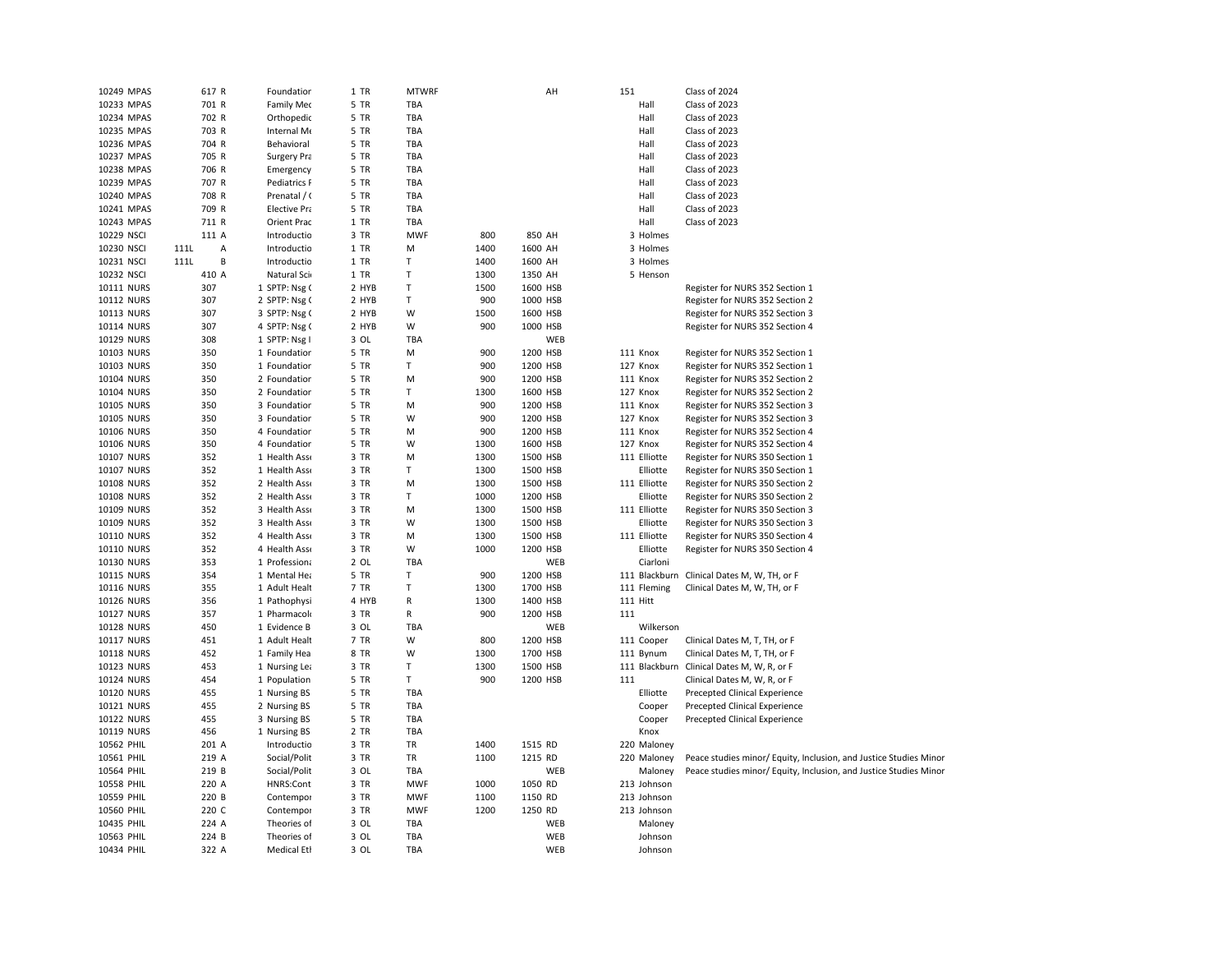| 701 R<br>Class of 2023<br>10233 MPAS<br><b>Family Med</b><br>5 TR<br>TBA<br>Hall<br>702 R<br>TBA<br>Hall<br>Class of 2023<br>10234 MPAS<br>5 TR<br>Orthopedic<br>TBA<br>Class of 2023<br>10235 MPAS<br>703 R<br>Internal Me<br>5 TR<br>Hall<br>704 R<br>TBA<br>Class of 2023<br>10236 MPAS<br>Behavioral<br>5 TR<br>Hall<br>705 R<br>TBA<br>Class of 2023<br>10237 MPAS<br>Surgery Pra<br>5 TR<br>Hall<br>706 R<br>5 TR<br>TBA<br>Hall<br>Class of 2023<br>10238 MPAS<br>Emergency<br>707 R<br><b>TBA</b><br>Class of 2023<br>10239 MPAS<br>Pediatrics F<br>5 TR<br>Hall<br>10240 MPAS<br>708 R<br>Prenatal / (<br>5 TR<br><b>TBA</b><br>Hall<br>Class of 2023<br>10241 MPAS<br>709 R<br><b>Elective Pra</b><br>5 TR<br><b>TBA</b><br>Hall<br>Class of 2023<br>Class of 2023<br>10243 MPAS<br>711 R<br>Orient Prac<br>1 TR<br><b>TBA</b><br>Hall<br>10229 NSCI<br>111 A<br>Introductio<br>3 TR<br><b>MWF</b><br>800<br>850 AH<br>3 Holmes<br>10230 NSCI<br>$111\mathsf{L}$<br>Introductio<br>1 TR<br>1400<br>1600 AH<br>3 Holmes<br>Α<br>M<br>B<br>10231 NSCI<br>111L<br>Introductio<br>1 TR<br>Т<br>1400<br>1600 AH<br>3 Holmes<br>T<br>10232 NSCI<br>410 A<br>Natural Sci<br>1 TR<br>1300<br>1350 AH<br>5 Henson<br>T<br>10111 NURS<br>307<br>1 SPTP: Nsg (<br>2 HYB<br>1500<br>1600 HSB<br>Register for NURS 352 Section 1<br>10112 NURS<br>307<br>2 SPTP: Nsg (<br>2 HYB<br>T<br>900<br>1000 HSB<br>Register for NURS 352 Section 2<br>10113 NURS<br>307<br>3 SPTP: Nsg (<br>2 HYB<br>W<br>1500<br>1600 HSB<br>Register for NURS 352 Section 3<br>307<br>W<br>900<br>10114 NURS<br>4 SPTP: Nsg (<br>2 HYB<br>1000 HSB<br>Register for NURS 352 Section 4<br>WEB<br>10129 NURS<br>308<br>1 SPTP: Nsg I<br>3 OL<br>TBA<br>900<br>1200 HSB<br>10103 NURS<br>350<br>1 Foundation<br>5 TR<br>M<br>111 Knox<br>Register for NURS 352 Section 1<br>350<br>T<br>900<br>10103 NURS<br>1 Foundation<br>5 TR<br>1200 HSB<br>127 Knox<br>Register for NURS 352 Section 1<br>350<br>900<br>10104 NURS<br>2 Foundation<br>5 TR<br>M<br>1200 HSB<br>111 Knox<br>Register for NURS 352 Section 2<br>$\mathsf T$<br>350<br>1300<br>10104 NURS<br>2 Foundation<br>5 TR<br>1600 HSB<br>127 Knox<br>Register for NURS 352 Section 2<br>350<br>900<br>10105 NURS<br>3 Foundation<br>5 TR<br>м<br>1200 HSB<br>111 Knox<br>Register for NURS 352 Section 3<br>350<br>W<br>900<br>10105 NURS<br>3 Foundation<br>5 TR<br>1200 HSB<br>127 Knox<br>Register for NURS 352 Section 3<br>10106 NURS<br>350<br>4 Foundation<br>5 TR<br>M<br>900<br>1200 HSB<br>111 Knox<br>Register for NURS 352 Section 4<br>10106 NURS<br>350<br>4 Foundation<br>5 TR<br>W<br>1300<br>1600 HSB<br>127 Knox<br>Register for NURS 352 Section 4<br>10107 NURS<br>352<br>3 TR<br>M<br>1300<br>1500 HSB<br>111 Elliotte<br>1 Health Ass<br>Register for NURS 350 Section 1<br>10107 NURS<br>352<br>3 TR<br>T<br>1300<br>1500 HSB<br>Elliotte<br>1 Health Ass<br>Register for NURS 350 Section 1<br>10108 NURS<br>352<br>2 Health Ass<br>3 TR<br>M<br>1300<br>1500 HSB<br>111 Elliotte<br>Register for NURS 350 Section 2 |  |
|-----------------------------------------------------------------------------------------------------------------------------------------------------------------------------------------------------------------------------------------------------------------------------------------------------------------------------------------------------------------------------------------------------------------------------------------------------------------------------------------------------------------------------------------------------------------------------------------------------------------------------------------------------------------------------------------------------------------------------------------------------------------------------------------------------------------------------------------------------------------------------------------------------------------------------------------------------------------------------------------------------------------------------------------------------------------------------------------------------------------------------------------------------------------------------------------------------------------------------------------------------------------------------------------------------------------------------------------------------------------------------------------------------------------------------------------------------------------------------------------------------------------------------------------------------------------------------------------------------------------------------------------------------------------------------------------------------------------------------------------------------------------------------------------------------------------------------------------------------------------------------------------------------------------------------------------------------------------------------------------------------------------------------------------------------------------------------------------------------------------------------------------------------------------------------------------------------------------------------------------------------------------------------------------------------------------------------------------------------------------------------------------------------------------------------------------------------------------------------------------------------------------------------------------------------------------------------------------------------------------------------------------------------------------------------------------------------------------------------------------------------------------------------------------------------------------------------------------------------------------------------------------------------------------------------------------------------------------------------------------------------------------------------------------------------------------------------|--|
|                                                                                                                                                                                                                                                                                                                                                                                                                                                                                                                                                                                                                                                                                                                                                                                                                                                                                                                                                                                                                                                                                                                                                                                                                                                                                                                                                                                                                                                                                                                                                                                                                                                                                                                                                                                                                                                                                                                                                                                                                                                                                                                                                                                                                                                                                                                                                                                                                                                                                                                                                                                                                                                                                                                                                                                                                                                                                                                                                                                                                                                                             |  |
|                                                                                                                                                                                                                                                                                                                                                                                                                                                                                                                                                                                                                                                                                                                                                                                                                                                                                                                                                                                                                                                                                                                                                                                                                                                                                                                                                                                                                                                                                                                                                                                                                                                                                                                                                                                                                                                                                                                                                                                                                                                                                                                                                                                                                                                                                                                                                                                                                                                                                                                                                                                                                                                                                                                                                                                                                                                                                                                                                                                                                                                                             |  |
|                                                                                                                                                                                                                                                                                                                                                                                                                                                                                                                                                                                                                                                                                                                                                                                                                                                                                                                                                                                                                                                                                                                                                                                                                                                                                                                                                                                                                                                                                                                                                                                                                                                                                                                                                                                                                                                                                                                                                                                                                                                                                                                                                                                                                                                                                                                                                                                                                                                                                                                                                                                                                                                                                                                                                                                                                                                                                                                                                                                                                                                                             |  |
|                                                                                                                                                                                                                                                                                                                                                                                                                                                                                                                                                                                                                                                                                                                                                                                                                                                                                                                                                                                                                                                                                                                                                                                                                                                                                                                                                                                                                                                                                                                                                                                                                                                                                                                                                                                                                                                                                                                                                                                                                                                                                                                                                                                                                                                                                                                                                                                                                                                                                                                                                                                                                                                                                                                                                                                                                                                                                                                                                                                                                                                                             |  |
|                                                                                                                                                                                                                                                                                                                                                                                                                                                                                                                                                                                                                                                                                                                                                                                                                                                                                                                                                                                                                                                                                                                                                                                                                                                                                                                                                                                                                                                                                                                                                                                                                                                                                                                                                                                                                                                                                                                                                                                                                                                                                                                                                                                                                                                                                                                                                                                                                                                                                                                                                                                                                                                                                                                                                                                                                                                                                                                                                                                                                                                                             |  |
|                                                                                                                                                                                                                                                                                                                                                                                                                                                                                                                                                                                                                                                                                                                                                                                                                                                                                                                                                                                                                                                                                                                                                                                                                                                                                                                                                                                                                                                                                                                                                                                                                                                                                                                                                                                                                                                                                                                                                                                                                                                                                                                                                                                                                                                                                                                                                                                                                                                                                                                                                                                                                                                                                                                                                                                                                                                                                                                                                                                                                                                                             |  |
|                                                                                                                                                                                                                                                                                                                                                                                                                                                                                                                                                                                                                                                                                                                                                                                                                                                                                                                                                                                                                                                                                                                                                                                                                                                                                                                                                                                                                                                                                                                                                                                                                                                                                                                                                                                                                                                                                                                                                                                                                                                                                                                                                                                                                                                                                                                                                                                                                                                                                                                                                                                                                                                                                                                                                                                                                                                                                                                                                                                                                                                                             |  |
|                                                                                                                                                                                                                                                                                                                                                                                                                                                                                                                                                                                                                                                                                                                                                                                                                                                                                                                                                                                                                                                                                                                                                                                                                                                                                                                                                                                                                                                                                                                                                                                                                                                                                                                                                                                                                                                                                                                                                                                                                                                                                                                                                                                                                                                                                                                                                                                                                                                                                                                                                                                                                                                                                                                                                                                                                                                                                                                                                                                                                                                                             |  |
|                                                                                                                                                                                                                                                                                                                                                                                                                                                                                                                                                                                                                                                                                                                                                                                                                                                                                                                                                                                                                                                                                                                                                                                                                                                                                                                                                                                                                                                                                                                                                                                                                                                                                                                                                                                                                                                                                                                                                                                                                                                                                                                                                                                                                                                                                                                                                                                                                                                                                                                                                                                                                                                                                                                                                                                                                                                                                                                                                                                                                                                                             |  |
|                                                                                                                                                                                                                                                                                                                                                                                                                                                                                                                                                                                                                                                                                                                                                                                                                                                                                                                                                                                                                                                                                                                                                                                                                                                                                                                                                                                                                                                                                                                                                                                                                                                                                                                                                                                                                                                                                                                                                                                                                                                                                                                                                                                                                                                                                                                                                                                                                                                                                                                                                                                                                                                                                                                                                                                                                                                                                                                                                                                                                                                                             |  |
|                                                                                                                                                                                                                                                                                                                                                                                                                                                                                                                                                                                                                                                                                                                                                                                                                                                                                                                                                                                                                                                                                                                                                                                                                                                                                                                                                                                                                                                                                                                                                                                                                                                                                                                                                                                                                                                                                                                                                                                                                                                                                                                                                                                                                                                                                                                                                                                                                                                                                                                                                                                                                                                                                                                                                                                                                                                                                                                                                                                                                                                                             |  |
|                                                                                                                                                                                                                                                                                                                                                                                                                                                                                                                                                                                                                                                                                                                                                                                                                                                                                                                                                                                                                                                                                                                                                                                                                                                                                                                                                                                                                                                                                                                                                                                                                                                                                                                                                                                                                                                                                                                                                                                                                                                                                                                                                                                                                                                                                                                                                                                                                                                                                                                                                                                                                                                                                                                                                                                                                                                                                                                                                                                                                                                                             |  |
|                                                                                                                                                                                                                                                                                                                                                                                                                                                                                                                                                                                                                                                                                                                                                                                                                                                                                                                                                                                                                                                                                                                                                                                                                                                                                                                                                                                                                                                                                                                                                                                                                                                                                                                                                                                                                                                                                                                                                                                                                                                                                                                                                                                                                                                                                                                                                                                                                                                                                                                                                                                                                                                                                                                                                                                                                                                                                                                                                                                                                                                                             |  |
|                                                                                                                                                                                                                                                                                                                                                                                                                                                                                                                                                                                                                                                                                                                                                                                                                                                                                                                                                                                                                                                                                                                                                                                                                                                                                                                                                                                                                                                                                                                                                                                                                                                                                                                                                                                                                                                                                                                                                                                                                                                                                                                                                                                                                                                                                                                                                                                                                                                                                                                                                                                                                                                                                                                                                                                                                                                                                                                                                                                                                                                                             |  |
|                                                                                                                                                                                                                                                                                                                                                                                                                                                                                                                                                                                                                                                                                                                                                                                                                                                                                                                                                                                                                                                                                                                                                                                                                                                                                                                                                                                                                                                                                                                                                                                                                                                                                                                                                                                                                                                                                                                                                                                                                                                                                                                                                                                                                                                                                                                                                                                                                                                                                                                                                                                                                                                                                                                                                                                                                                                                                                                                                                                                                                                                             |  |
|                                                                                                                                                                                                                                                                                                                                                                                                                                                                                                                                                                                                                                                                                                                                                                                                                                                                                                                                                                                                                                                                                                                                                                                                                                                                                                                                                                                                                                                                                                                                                                                                                                                                                                                                                                                                                                                                                                                                                                                                                                                                                                                                                                                                                                                                                                                                                                                                                                                                                                                                                                                                                                                                                                                                                                                                                                                                                                                                                                                                                                                                             |  |
|                                                                                                                                                                                                                                                                                                                                                                                                                                                                                                                                                                                                                                                                                                                                                                                                                                                                                                                                                                                                                                                                                                                                                                                                                                                                                                                                                                                                                                                                                                                                                                                                                                                                                                                                                                                                                                                                                                                                                                                                                                                                                                                                                                                                                                                                                                                                                                                                                                                                                                                                                                                                                                                                                                                                                                                                                                                                                                                                                                                                                                                                             |  |
|                                                                                                                                                                                                                                                                                                                                                                                                                                                                                                                                                                                                                                                                                                                                                                                                                                                                                                                                                                                                                                                                                                                                                                                                                                                                                                                                                                                                                                                                                                                                                                                                                                                                                                                                                                                                                                                                                                                                                                                                                                                                                                                                                                                                                                                                                                                                                                                                                                                                                                                                                                                                                                                                                                                                                                                                                                                                                                                                                                                                                                                                             |  |
|                                                                                                                                                                                                                                                                                                                                                                                                                                                                                                                                                                                                                                                                                                                                                                                                                                                                                                                                                                                                                                                                                                                                                                                                                                                                                                                                                                                                                                                                                                                                                                                                                                                                                                                                                                                                                                                                                                                                                                                                                                                                                                                                                                                                                                                                                                                                                                                                                                                                                                                                                                                                                                                                                                                                                                                                                                                                                                                                                                                                                                                                             |  |
|                                                                                                                                                                                                                                                                                                                                                                                                                                                                                                                                                                                                                                                                                                                                                                                                                                                                                                                                                                                                                                                                                                                                                                                                                                                                                                                                                                                                                                                                                                                                                                                                                                                                                                                                                                                                                                                                                                                                                                                                                                                                                                                                                                                                                                                                                                                                                                                                                                                                                                                                                                                                                                                                                                                                                                                                                                                                                                                                                                                                                                                                             |  |
|                                                                                                                                                                                                                                                                                                                                                                                                                                                                                                                                                                                                                                                                                                                                                                                                                                                                                                                                                                                                                                                                                                                                                                                                                                                                                                                                                                                                                                                                                                                                                                                                                                                                                                                                                                                                                                                                                                                                                                                                                                                                                                                                                                                                                                                                                                                                                                                                                                                                                                                                                                                                                                                                                                                                                                                                                                                                                                                                                                                                                                                                             |  |
|                                                                                                                                                                                                                                                                                                                                                                                                                                                                                                                                                                                                                                                                                                                                                                                                                                                                                                                                                                                                                                                                                                                                                                                                                                                                                                                                                                                                                                                                                                                                                                                                                                                                                                                                                                                                                                                                                                                                                                                                                                                                                                                                                                                                                                                                                                                                                                                                                                                                                                                                                                                                                                                                                                                                                                                                                                                                                                                                                                                                                                                                             |  |
|                                                                                                                                                                                                                                                                                                                                                                                                                                                                                                                                                                                                                                                                                                                                                                                                                                                                                                                                                                                                                                                                                                                                                                                                                                                                                                                                                                                                                                                                                                                                                                                                                                                                                                                                                                                                                                                                                                                                                                                                                                                                                                                                                                                                                                                                                                                                                                                                                                                                                                                                                                                                                                                                                                                                                                                                                                                                                                                                                                                                                                                                             |  |
|                                                                                                                                                                                                                                                                                                                                                                                                                                                                                                                                                                                                                                                                                                                                                                                                                                                                                                                                                                                                                                                                                                                                                                                                                                                                                                                                                                                                                                                                                                                                                                                                                                                                                                                                                                                                                                                                                                                                                                                                                                                                                                                                                                                                                                                                                                                                                                                                                                                                                                                                                                                                                                                                                                                                                                                                                                                                                                                                                                                                                                                                             |  |
|                                                                                                                                                                                                                                                                                                                                                                                                                                                                                                                                                                                                                                                                                                                                                                                                                                                                                                                                                                                                                                                                                                                                                                                                                                                                                                                                                                                                                                                                                                                                                                                                                                                                                                                                                                                                                                                                                                                                                                                                                                                                                                                                                                                                                                                                                                                                                                                                                                                                                                                                                                                                                                                                                                                                                                                                                                                                                                                                                                                                                                                                             |  |
|                                                                                                                                                                                                                                                                                                                                                                                                                                                                                                                                                                                                                                                                                                                                                                                                                                                                                                                                                                                                                                                                                                                                                                                                                                                                                                                                                                                                                                                                                                                                                                                                                                                                                                                                                                                                                                                                                                                                                                                                                                                                                                                                                                                                                                                                                                                                                                                                                                                                                                                                                                                                                                                                                                                                                                                                                                                                                                                                                                                                                                                                             |  |
|                                                                                                                                                                                                                                                                                                                                                                                                                                                                                                                                                                                                                                                                                                                                                                                                                                                                                                                                                                                                                                                                                                                                                                                                                                                                                                                                                                                                                                                                                                                                                                                                                                                                                                                                                                                                                                                                                                                                                                                                                                                                                                                                                                                                                                                                                                                                                                                                                                                                                                                                                                                                                                                                                                                                                                                                                                                                                                                                                                                                                                                                             |  |
|                                                                                                                                                                                                                                                                                                                                                                                                                                                                                                                                                                                                                                                                                                                                                                                                                                                                                                                                                                                                                                                                                                                                                                                                                                                                                                                                                                                                                                                                                                                                                                                                                                                                                                                                                                                                                                                                                                                                                                                                                                                                                                                                                                                                                                                                                                                                                                                                                                                                                                                                                                                                                                                                                                                                                                                                                                                                                                                                                                                                                                                                             |  |
|                                                                                                                                                                                                                                                                                                                                                                                                                                                                                                                                                                                                                                                                                                                                                                                                                                                                                                                                                                                                                                                                                                                                                                                                                                                                                                                                                                                                                                                                                                                                                                                                                                                                                                                                                                                                                                                                                                                                                                                                                                                                                                                                                                                                                                                                                                                                                                                                                                                                                                                                                                                                                                                                                                                                                                                                                                                                                                                                                                                                                                                                             |  |
|                                                                                                                                                                                                                                                                                                                                                                                                                                                                                                                                                                                                                                                                                                                                                                                                                                                                                                                                                                                                                                                                                                                                                                                                                                                                                                                                                                                                                                                                                                                                                                                                                                                                                                                                                                                                                                                                                                                                                                                                                                                                                                                                                                                                                                                                                                                                                                                                                                                                                                                                                                                                                                                                                                                                                                                                                                                                                                                                                                                                                                                                             |  |
| T<br><b>10108 NURS</b><br>352<br>2 Health Asse<br>3 TR<br>1000<br>1200 HSB<br>Elliotte<br>Register for NURS 350 Section 2                                                                                                                                                                                                                                                                                                                                                                                                                                                                                                                                                                                                                                                                                                                                                                                                                                                                                                                                                                                                                                                                                                                                                                                                                                                                                                                                                                                                                                                                                                                                                                                                                                                                                                                                                                                                                                                                                                                                                                                                                                                                                                                                                                                                                                                                                                                                                                                                                                                                                                                                                                                                                                                                                                                                                                                                                                                                                                                                                   |  |
| 10109 NURS<br>352<br>3 Health Asse<br>3 TR<br>M<br>1300<br>1500 HSB<br>111 Elliotte<br>Register for NURS 350 Section 3                                                                                                                                                                                                                                                                                                                                                                                                                                                                                                                                                                                                                                                                                                                                                                                                                                                                                                                                                                                                                                                                                                                                                                                                                                                                                                                                                                                                                                                                                                                                                                                                                                                                                                                                                                                                                                                                                                                                                                                                                                                                                                                                                                                                                                                                                                                                                                                                                                                                                                                                                                                                                                                                                                                                                                                                                                                                                                                                                      |  |
| 352<br>3 TR<br>W<br>1300<br>1500 HSB<br>Elliotte<br>Register for NURS 350 Section 3<br>10109 NURS<br>3 Health Asse                                                                                                                                                                                                                                                                                                                                                                                                                                                                                                                                                                                                                                                                                                                                                                                                                                                                                                                                                                                                                                                                                                                                                                                                                                                                                                                                                                                                                                                                                                                                                                                                                                                                                                                                                                                                                                                                                                                                                                                                                                                                                                                                                                                                                                                                                                                                                                                                                                                                                                                                                                                                                                                                                                                                                                                                                                                                                                                                                          |  |
| 10110 NURS<br>352<br>3 TR<br>1300<br>1500 HSB<br>111 Elliotte<br>Register for NURS 350 Section 4<br>4 Health Ass<br>M                                                                                                                                                                                                                                                                                                                                                                                                                                                                                                                                                                                                                                                                                                                                                                                                                                                                                                                                                                                                                                                                                                                                                                                                                                                                                                                                                                                                                                                                                                                                                                                                                                                                                                                                                                                                                                                                                                                                                                                                                                                                                                                                                                                                                                                                                                                                                                                                                                                                                                                                                                                                                                                                                                                                                                                                                                                                                                                                                       |  |
| 10110 NURS<br>352<br>4 Health Asse<br>3 TR<br>W<br>1000<br>1200 HSB<br>Elliotte<br>Register for NURS 350 Section 4                                                                                                                                                                                                                                                                                                                                                                                                                                                                                                                                                                                                                                                                                                                                                                                                                                                                                                                                                                                                                                                                                                                                                                                                                                                                                                                                                                                                                                                                                                                                                                                                                                                                                                                                                                                                                                                                                                                                                                                                                                                                                                                                                                                                                                                                                                                                                                                                                                                                                                                                                                                                                                                                                                                                                                                                                                                                                                                                                          |  |
| 353<br>TBA<br>10130 NURS<br>1 Professiona<br>2 OL<br>WEB<br>Ciarloni                                                                                                                                                                                                                                                                                                                                                                                                                                                                                                                                                                                                                                                                                                                                                                                                                                                                                                                                                                                                                                                                                                                                                                                                                                                                                                                                                                                                                                                                                                                                                                                                                                                                                                                                                                                                                                                                                                                                                                                                                                                                                                                                                                                                                                                                                                                                                                                                                                                                                                                                                                                                                                                                                                                                                                                                                                                                                                                                                                                                        |  |
| 354<br>5 TR<br>T<br>900<br>1200 HSB<br>10115 NURS<br>1 Mental Hea<br>111 Blackburn<br>Clinical Dates M, W, TH, or F                                                                                                                                                                                                                                                                                                                                                                                                                                                                                                                                                                                                                                                                                                                                                                                                                                                                                                                                                                                                                                                                                                                                                                                                                                                                                                                                                                                                                                                                                                                                                                                                                                                                                                                                                                                                                                                                                                                                                                                                                                                                                                                                                                                                                                                                                                                                                                                                                                                                                                                                                                                                                                                                                                                                                                                                                                                                                                                                                         |  |
| $\top$<br>355<br>7 TR<br>1300<br>1700 HSB<br>111 Fleming<br>Clinical Dates M, W, TH, or F<br>10116 NURS<br>1 Adult Healt                                                                                                                                                                                                                                                                                                                                                                                                                                                                                                                                                                                                                                                                                                                                                                                                                                                                                                                                                                                                                                                                                                                                                                                                                                                                                                                                                                                                                                                                                                                                                                                                                                                                                                                                                                                                                                                                                                                                                                                                                                                                                                                                                                                                                                                                                                                                                                                                                                                                                                                                                                                                                                                                                                                                                                                                                                                                                                                                                    |  |
| ${\sf R}$<br>4 HYB<br>1300<br>111 Hitt<br>10126 NURS<br>356<br>1 Pathophysi<br>1400 HSB                                                                                                                                                                                                                                                                                                                                                                                                                                                                                                                                                                                                                                                                                                                                                                                                                                                                                                                                                                                                                                                                                                                                                                                                                                                                                                                                                                                                                                                                                                                                                                                                                                                                                                                                                                                                                                                                                                                                                                                                                                                                                                                                                                                                                                                                                                                                                                                                                                                                                                                                                                                                                                                                                                                                                                                                                                                                                                                                                                                     |  |
| 357<br>${\sf R}$<br>900<br>1200 HSB<br>111<br>10127 NURS<br>1 Pharmacolo<br>3 TR                                                                                                                                                                                                                                                                                                                                                                                                                                                                                                                                                                                                                                                                                                                                                                                                                                                                                                                                                                                                                                                                                                                                                                                                                                                                                                                                                                                                                                                                                                                                                                                                                                                                                                                                                                                                                                                                                                                                                                                                                                                                                                                                                                                                                                                                                                                                                                                                                                                                                                                                                                                                                                                                                                                                                                                                                                                                                                                                                                                            |  |
| 450<br>1 Evidence B<br>3 OL<br>TBA<br>10128 NURS<br>WEB<br>Wilkerson                                                                                                                                                                                                                                                                                                                                                                                                                                                                                                                                                                                                                                                                                                                                                                                                                                                                                                                                                                                                                                                                                                                                                                                                                                                                                                                                                                                                                                                                                                                                                                                                                                                                                                                                                                                                                                                                                                                                                                                                                                                                                                                                                                                                                                                                                                                                                                                                                                                                                                                                                                                                                                                                                                                                                                                                                                                                                                                                                                                                        |  |
| 10117 NURS<br>451<br>1 Adult Healt<br>7 TR<br>W<br>800<br>1200 HSB<br>111 Cooper<br>Clinical Dates M, T, TH, or F                                                                                                                                                                                                                                                                                                                                                                                                                                                                                                                                                                                                                                                                                                                                                                                                                                                                                                                                                                                                                                                                                                                                                                                                                                                                                                                                                                                                                                                                                                                                                                                                                                                                                                                                                                                                                                                                                                                                                                                                                                                                                                                                                                                                                                                                                                                                                                                                                                                                                                                                                                                                                                                                                                                                                                                                                                                                                                                                                           |  |
| <b>10118 NURS</b><br>452<br>1 Family Hea<br>8 TR<br>W<br>1300<br>1700 HSB<br>111 Bynum<br>Clinical Dates M, T, TH, or F                                                                                                                                                                                                                                                                                                                                                                                                                                                                                                                                                                                                                                                                                                                                                                                                                                                                                                                                                                                                                                                                                                                                                                                                                                                                                                                                                                                                                                                                                                                                                                                                                                                                                                                                                                                                                                                                                                                                                                                                                                                                                                                                                                                                                                                                                                                                                                                                                                                                                                                                                                                                                                                                                                                                                                                                                                                                                                                                                     |  |
| T<br>1300<br>111 Blackburn Clinical Dates M, W, R, or F<br>10123 NURS<br>453<br>1 Nursing Lea<br>3 TR<br>1500 HSB                                                                                                                                                                                                                                                                                                                                                                                                                                                                                                                                                                                                                                                                                                                                                                                                                                                                                                                                                                                                                                                                                                                                                                                                                                                                                                                                                                                                                                                                                                                                                                                                                                                                                                                                                                                                                                                                                                                                                                                                                                                                                                                                                                                                                                                                                                                                                                                                                                                                                                                                                                                                                                                                                                                                                                                                                                                                                                                                                           |  |
| T.<br>10124 NURS<br>454<br>1 Population<br>5 TR<br>900<br>1200 HSB<br>111<br>Clinical Dates M, W, R, or F                                                                                                                                                                                                                                                                                                                                                                                                                                                                                                                                                                                                                                                                                                                                                                                                                                                                                                                                                                                                                                                                                                                                                                                                                                                                                                                                                                                                                                                                                                                                                                                                                                                                                                                                                                                                                                                                                                                                                                                                                                                                                                                                                                                                                                                                                                                                                                                                                                                                                                                                                                                                                                                                                                                                                                                                                                                                                                                                                                   |  |
| 10120 NURS<br>455<br>1 Nursing BS<br>5 TR<br>TBA<br>Elliotte<br>Precepted Clinical Experience                                                                                                                                                                                                                                                                                                                                                                                                                                                                                                                                                                                                                                                                                                                                                                                                                                                                                                                                                                                                                                                                                                                                                                                                                                                                                                                                                                                                                                                                                                                                                                                                                                                                                                                                                                                                                                                                                                                                                                                                                                                                                                                                                                                                                                                                                                                                                                                                                                                                                                                                                                                                                                                                                                                                                                                                                                                                                                                                                                               |  |
| 10121 NURS<br>455<br>2 Nursing BS<br>5 TR<br>TBA<br>Cooper<br>Precepted Clinical Experience                                                                                                                                                                                                                                                                                                                                                                                                                                                                                                                                                                                                                                                                                                                                                                                                                                                                                                                                                                                                                                                                                                                                                                                                                                                                                                                                                                                                                                                                                                                                                                                                                                                                                                                                                                                                                                                                                                                                                                                                                                                                                                                                                                                                                                                                                                                                                                                                                                                                                                                                                                                                                                                                                                                                                                                                                                                                                                                                                                                 |  |
| 10122 NURS<br>455<br>3 Nursing BS<br>5 TR<br>TBA<br>Cooper<br>Precepted Clinical Experience                                                                                                                                                                                                                                                                                                                                                                                                                                                                                                                                                                                                                                                                                                                                                                                                                                                                                                                                                                                                                                                                                                                                                                                                                                                                                                                                                                                                                                                                                                                                                                                                                                                                                                                                                                                                                                                                                                                                                                                                                                                                                                                                                                                                                                                                                                                                                                                                                                                                                                                                                                                                                                                                                                                                                                                                                                                                                                                                                                                 |  |
| 10119 NURS<br>456<br>1 Nursing BS<br>2 TR<br><b>TBA</b><br>Knox                                                                                                                                                                                                                                                                                                                                                                                                                                                                                                                                                                                                                                                                                                                                                                                                                                                                                                                                                                                                                                                                                                                                                                                                                                                                                                                                                                                                                                                                                                                                                                                                                                                                                                                                                                                                                                                                                                                                                                                                                                                                                                                                                                                                                                                                                                                                                                                                                                                                                                                                                                                                                                                                                                                                                                                                                                                                                                                                                                                                             |  |
| 1400<br>1515 RD<br>10562 PHIL<br>201 A<br>Introductio<br>3 TR<br>TR<br>220 Maloney                                                                                                                                                                                                                                                                                                                                                                                                                                                                                                                                                                                                                                                                                                                                                                                                                                                                                                                                                                                                                                                                                                                                                                                                                                                                                                                                                                                                                                                                                                                                                                                                                                                                                                                                                                                                                                                                                                                                                                                                                                                                                                                                                                                                                                                                                                                                                                                                                                                                                                                                                                                                                                                                                                                                                                                                                                                                                                                                                                                          |  |
| 10561 PHIL<br>219 A<br>Social/Polit<br>3 TR<br>TR<br>1100<br>1215 RD<br>220 Maloney<br>Peace studies minor/ Equity, Inclusion, and Justice Studies Minor                                                                                                                                                                                                                                                                                                                                                                                                                                                                                                                                                                                                                                                                                                                                                                                                                                                                                                                                                                                                                                                                                                                                                                                                                                                                                                                                                                                                                                                                                                                                                                                                                                                                                                                                                                                                                                                                                                                                                                                                                                                                                                                                                                                                                                                                                                                                                                                                                                                                                                                                                                                                                                                                                                                                                                                                                                                                                                                    |  |
| 10564 PHIL<br>219 B<br>Social/Polit<br>3 OL<br>TBA<br>WEB<br>Peace studies minor/ Equity, Inclusion, and Justice Studies Minor<br>Maloney                                                                                                                                                                                                                                                                                                                                                                                                                                                                                                                                                                                                                                                                                                                                                                                                                                                                                                                                                                                                                                                                                                                                                                                                                                                                                                                                                                                                                                                                                                                                                                                                                                                                                                                                                                                                                                                                                                                                                                                                                                                                                                                                                                                                                                                                                                                                                                                                                                                                                                                                                                                                                                                                                                                                                                                                                                                                                                                                   |  |
| 220 A<br><b>MWF</b><br>10558 PHIL<br>HNRS:Cont<br>3 TR<br>1000<br>1050 RD<br>213 Johnson                                                                                                                                                                                                                                                                                                                                                                                                                                                                                                                                                                                                                                                                                                                                                                                                                                                                                                                                                                                                                                                                                                                                                                                                                                                                                                                                                                                                                                                                                                                                                                                                                                                                                                                                                                                                                                                                                                                                                                                                                                                                                                                                                                                                                                                                                                                                                                                                                                                                                                                                                                                                                                                                                                                                                                                                                                                                                                                                                                                    |  |
| <b>MWF</b><br>1150 RD<br>10559 PHIL<br>220 B<br>3 TR<br>1100<br>213 Johnson<br>Contempor                                                                                                                                                                                                                                                                                                                                                                                                                                                                                                                                                                                                                                                                                                                                                                                                                                                                                                                                                                                                                                                                                                                                                                                                                                                                                                                                                                                                                                                                                                                                                                                                                                                                                                                                                                                                                                                                                                                                                                                                                                                                                                                                                                                                                                                                                                                                                                                                                                                                                                                                                                                                                                                                                                                                                                                                                                                                                                                                                                                    |  |
| 220 C<br><b>MWF</b><br>1200<br>1250 RD<br>10560 PHIL<br>Contempor<br>3 TR<br>213 Johnson                                                                                                                                                                                                                                                                                                                                                                                                                                                                                                                                                                                                                                                                                                                                                                                                                                                                                                                                                                                                                                                                                                                                                                                                                                                                                                                                                                                                                                                                                                                                                                                                                                                                                                                                                                                                                                                                                                                                                                                                                                                                                                                                                                                                                                                                                                                                                                                                                                                                                                                                                                                                                                                                                                                                                                                                                                                                                                                                                                                    |  |
| 3 OL<br>10435 PHIL<br>224 A<br>Theories of<br><b>TBA</b><br>WEB<br>Maloney                                                                                                                                                                                                                                                                                                                                                                                                                                                                                                                                                                                                                                                                                                                                                                                                                                                                                                                                                                                                                                                                                                                                                                                                                                                                                                                                                                                                                                                                                                                                                                                                                                                                                                                                                                                                                                                                                                                                                                                                                                                                                                                                                                                                                                                                                                                                                                                                                                                                                                                                                                                                                                                                                                                                                                                                                                                                                                                                                                                                  |  |
| 224 B<br>3 OL<br>TBA<br>WEB<br>10563 PHIL<br>Theories of<br>Johnson                                                                                                                                                                                                                                                                                                                                                                                                                                                                                                                                                                                                                                                                                                                                                                                                                                                                                                                                                                                                                                                                                                                                                                                                                                                                                                                                                                                                                                                                                                                                                                                                                                                                                                                                                                                                                                                                                                                                                                                                                                                                                                                                                                                                                                                                                                                                                                                                                                                                                                                                                                                                                                                                                                                                                                                                                                                                                                                                                                                                         |  |
| 3 OL<br>WEB<br>10434 PHIL<br>322 A<br>Medical Etl<br>TBA<br>Johnson                                                                                                                                                                                                                                                                                                                                                                                                                                                                                                                                                                                                                                                                                                                                                                                                                                                                                                                                                                                                                                                                                                                                                                                                                                                                                                                                                                                                                                                                                                                                                                                                                                                                                                                                                                                                                                                                                                                                                                                                                                                                                                                                                                                                                                                                                                                                                                                                                                                                                                                                                                                                                                                                                                                                                                                                                                                                                                                                                                                                         |  |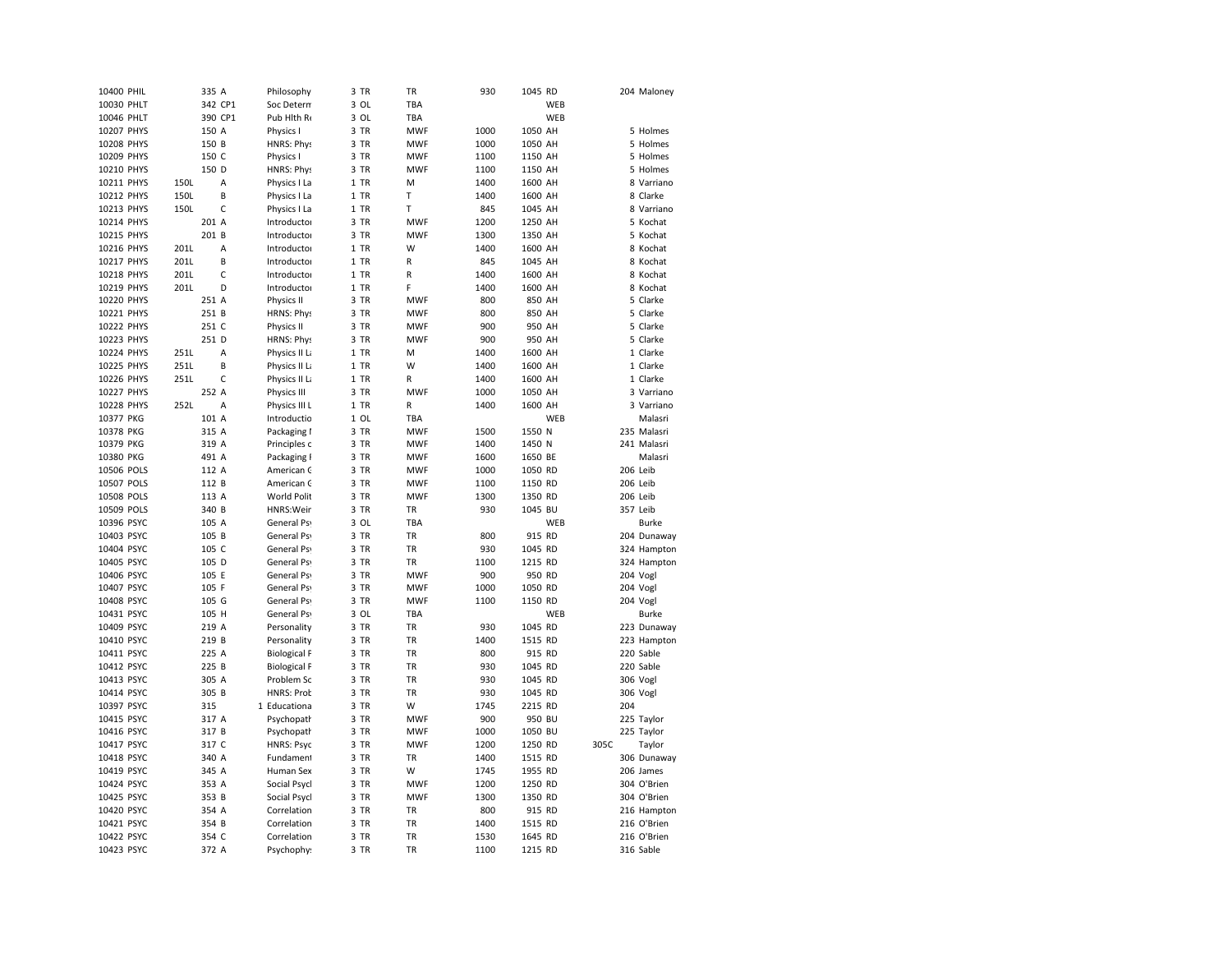| 10400 PHIL |      | 335 A   |              | Philosophy          | 3 TR | TR           | 930  | 1045 RD |     |      |          | 204 Maloney  |
|------------|------|---------|--------------|---------------------|------|--------------|------|---------|-----|------|----------|--------------|
| 10030 PHLT |      |         | 342 CP1      | Soc Detern          | 3 OL | TBA          |      |         | WEB |      |          |              |
| 10046 PHLT |      | 390 CP1 |              | Pub Hith Re         | 3 OL | TBA          |      |         | WEB |      |          |              |
| 10207 PHYS |      | 150 A   |              | Physics I           | 3 TR | <b>MWF</b>   | 1000 | 1050 AH |     |      |          | 5 Holmes     |
| 10208 PHYS |      | 150 B   |              | <b>HNRS: Phys</b>   | 3 TR | <b>MWF</b>   | 1000 | 1050 AH |     |      |          | 5 Holmes     |
| 10209 PHYS |      | 150 C   |              | Physics I           | 3 TR | <b>MWF</b>   | 1100 | 1150 AH |     |      |          | 5 Holmes     |
| 10210 PHYS |      | 150 D   |              | <b>HNRS: Phys</b>   | 3 TR | <b>MWF</b>   | 1100 | 1150 AH |     |      |          | 5 Holmes     |
| 10211 PHYS | 150L |         | A            | Physics I La        | 1 TR | M            | 1400 | 1600 AH |     |      |          | 8 Varriano   |
| 10212 PHYS | 150L |         | B            | Physics I La        | 1 TR | T            | 1400 | 1600 AH |     |      |          | 8 Clarke     |
| 10213 PHYS | 150L |         | $\mathsf{C}$ | Physics I La        | 1 TR | T            | 845  | 1045 AH |     |      |          | 8 Varriano   |
| 10214 PHYS |      | 201 A   |              | Introductor         | 3 TR | <b>MWF</b>   | 1200 | 1250 AH |     |      |          | 5 Kochat     |
| 10215 PHYS |      | 201 B   |              | Introductor         | 3 TR | <b>MWF</b>   | 1300 | 1350 AH |     |      |          | 5 Kochat     |
| 10216 PHYS | 201L |         | Α            | Introductor         | 1 TR | W            | 1400 | 1600 AH |     |      |          | 8 Kochat     |
| 10217 PHYS | 201L |         | B            | Introductor         | 1 TR | R            | 845  | 1045 AH |     |      |          | 8 Kochat     |
| 10218 PHYS | 201L |         | C            | Introductor         | 1 TR | R            | 1400 | 1600 AH |     |      |          | 8 Kochat     |
| 10219 PHYS | 201L |         | D            | Introductor         | 1 TR | F            | 1400 | 1600 AH |     |      |          | 8 Kochat     |
| 10220 PHYS |      | 251 A   |              | Physics II          | 3 TR | <b>MWF</b>   | 800  | 850 AH  |     |      |          | 5 Clarke     |
| 10221 PHYS |      | 251 B   |              | HRNS: Phys          | 3 TR | <b>MWF</b>   | 800  | 850 AH  |     |      |          | 5 Clarke     |
| 10222 PHYS |      | 251 C   |              | Physics II          | 3 TR | <b>MWF</b>   | 900  | 950 AH  |     |      |          | 5 Clarke     |
| 10223 PHYS |      | 251 D   |              | <b>HRNS: Phys</b>   | 3 TR | <b>MWF</b>   | 900  | 950 AH  |     |      |          | 5 Clarke     |
| 10224 PHYS | 251L |         | A            | Physics II La       | 1 TR | M            | 1400 | 1600 AH |     |      |          | 1 Clarke     |
| 10225 PHYS | 251L |         | B            | Physics II La       | 1 TR | W            | 1400 | 1600 AH |     |      |          | 1 Clarke     |
| 10226 PHYS | 251L |         | C            | Physics II La       | 1 TR | R            | 1400 | 1600 AH |     |      |          | 1 Clarke     |
| 10227 PHYS |      | 252 A   |              |                     | 3 TR | <b>MWF</b>   | 1000 |         |     |      |          | 3 Varriano   |
|            | 252L |         | A            | Physics III         |      | $\mathsf{R}$ |      | 1050 AH |     |      |          |              |
| 10228 PHYS |      |         |              | Physics III L       | 1 TR | <b>TBA</b>   | 1400 | 1600 AH | WEB |      |          | 3 Varriano   |
| 10377 PKG  |      | 101 A   |              | Introductio         | 1 OL |              |      |         |     |      |          | Malasri      |
| 10378 PKG  |      | 315 A   |              | Packaging I         | 3 TR | <b>MWF</b>   | 1500 | 1550 N  |     |      |          | 235 Malasri  |
| 10379 PKG  |      | 319 A   |              | Principles c        | 3 TR | <b>MWF</b>   | 1400 | 1450 N  |     |      |          | 241 Malasri  |
| 10380 PKG  |      | 491 A   |              | Packaging I         | 3 TR | <b>MWF</b>   | 1600 | 1650 BE |     |      |          | Malasri      |
| 10506 POLS |      | 112 A   |              | American C          | 3 TR | <b>MWF</b>   | 1000 | 1050 RD |     |      | 206 Leib |              |
| 10507 POLS |      | 112 B   |              | American C          | 3 TR | <b>MWF</b>   | 1100 | 1150 RD |     |      | 206 Leib |              |
| 10508 POLS |      | 113 A   |              | <b>World Polit</b>  | 3 TR | <b>MWF</b>   | 1300 | 1350 RD |     |      | 206 Leib |              |
| 10509 POLS |      | 340 B   |              | HNRS: Weir          | 3 TR | TR           | 930  | 1045 BU |     |      | 357 Leib |              |
| 10396 PSYC |      | 105 A   |              | General Psy         | 3 OL | TBA          |      |         | WEB |      |          | <b>Burke</b> |
| 10403 PSYC |      | 105 B   |              | General Psy         | 3 TR | <b>TR</b>    | 800  | 915 RD  |     |      |          | 204 Dunaway  |
| 10404 PSYC |      | 105 C   |              | General Psy         | 3 TR | TR           | 930  | 1045 RD |     |      |          | 324 Hampton  |
| 10405 PSYC |      | 105 D   |              | General Ps          | 3 TR | TR           | 1100 | 1215 RD |     |      |          | 324 Hampton  |
| 10406 PSYC |      | 105 E   |              | General Ps          | 3 TR | <b>MWF</b>   | 900  | 950 RD  |     |      |          | 204 Vogl     |
| 10407 PSYC |      | 105 F   |              | General Psy         | 3 TR | <b>MWF</b>   | 1000 | 1050 RD |     |      |          | 204 Vogl     |
| 10408 PSYC |      | 105 G   |              | <b>General Psy</b>  | 3 TR | <b>MWF</b>   | 1100 | 1150 RD |     |      |          | 204 Vogl     |
| 10431 PSYC |      | 105 H   |              | General Ps          | 3 OL | TBA          |      |         | WEB |      |          | <b>Burke</b> |
| 10409 PSYC |      | 219 A   |              | Personality         | 3 TR | <b>TR</b>    | 930  | 1045 RD |     |      |          | 223 Dunaway  |
| 10410 PSYC |      | 219 B   |              | Personality         | 3 TR | <b>TR</b>    | 1400 | 1515 RD |     |      |          | 223 Hampton  |
| 10411 PSYC |      | 225 A   |              | <b>Biological F</b> | 3 TR | TR           | 800  | 915 RD  |     |      |          | 220 Sable    |
| 10412 PSYC |      | 225 B   |              | <b>Biological F</b> | 3 TR | <b>TR</b>    | 930  | 1045 RD |     |      |          | 220 Sable    |
| 10413 PSYC |      | 305 A   |              | Problem Sc          | 3 TR | TR           | 930  | 1045 RD |     |      |          | 306 Vogl     |
| 10414 PSYC |      | 305 B   |              | <b>HNRS: Prob</b>   | 3 TR | <b>TR</b>    | 930  | 1045 RD |     |      |          | 306 Vogl     |
| 10397 PSYC |      | 315     |              | 1 Educationa        | 3 TR | W            | 1745 | 2215 RD |     |      | 204      |              |
| 10415 PSYC |      | 317 A   |              | Psychopath          | 3 TR | <b>MWF</b>   | 900  | 950 BU  |     |      |          | 225 Taylor   |
| 10416 PSYC |      | 317 B   |              | Psychopath          | 3 TR | <b>MWF</b>   | 1000 | 1050 BU |     |      |          | 225 Taylor   |
| 10417 PSYC |      | 317 C   |              | <b>HNRS: Psyc</b>   | 3 TR | <b>MWF</b>   | 1200 | 1250 RD |     | 305C |          | Taylor       |
| 10418 PSYC |      | 340 A   |              | Fundament           | 3 TR | TR           | 1400 | 1515 RD |     |      |          | 306 Dunaway  |
| 10419 PSYC |      | 345 A   |              | Human Sex           | 3 TR | W            | 1745 | 1955 RD |     |      |          | 206 James    |
| 10424 PSYC |      | 353 A   |              | Social Psycl        | 3 TR | <b>MWF</b>   | 1200 | 1250 RD |     |      |          | 304 O'Brien  |
| 10425 PSYC |      | 353 B   |              | Social Psycl        | 3 TR | <b>MWF</b>   | 1300 | 1350 RD |     |      |          | 304 O'Brien  |
| 10420 PSYC |      | 354 A   |              | Correlation         | 3 TR | TR           | 800  | 915 RD  |     |      |          | 216 Hampton  |
| 10421 PSYC |      | 354 B   |              | Correlation         | 3 TR | TR           | 1400 | 1515 RD |     |      |          | 216 O'Brien  |
| 10422 PSYC |      | 354 C   |              | Correlation         | 3 TR | <b>TR</b>    | 1530 | 1645 RD |     |      |          | 216 O'Brien  |
| 10423 PSYC |      | 372 A   |              | Psychophy:          | 3 TR | <b>TR</b>    | 1100 | 1215 RD |     |      |          | 316 Sable    |